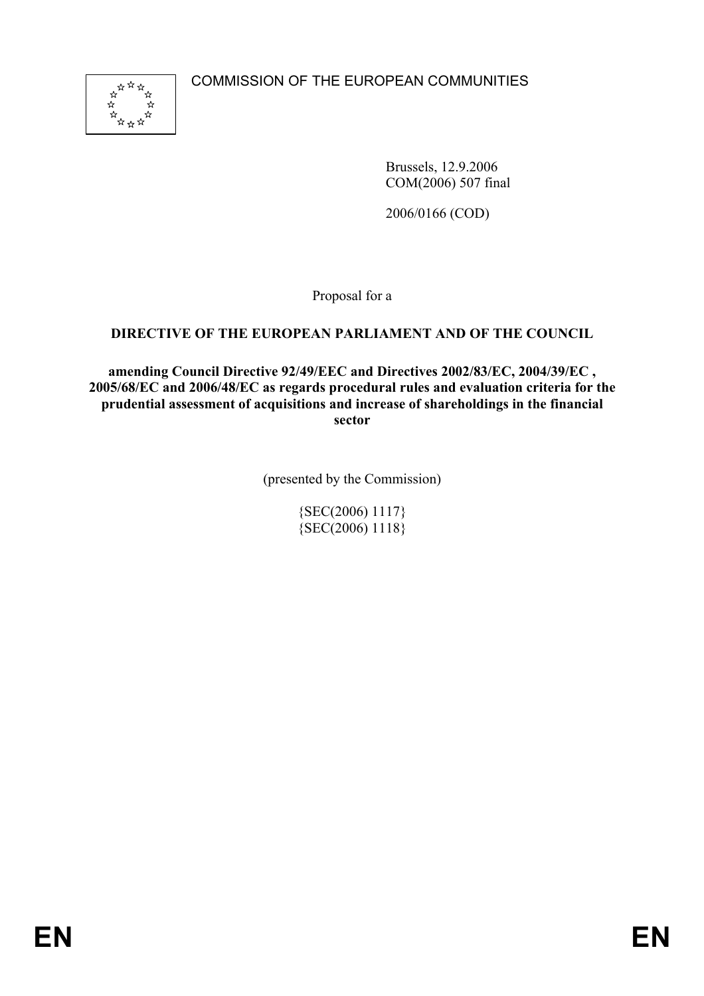COMMISSION OF THE EUROPEAN COMMUNITIES



Brussels, 12.9.2006 COM(2006) 507 final

2006/0166 (COD)

Proposal for a

# **DIRECTIVE OF THE EUROPEAN PARLIAMENT AND OF THE COUNCIL**

**amending Council Directive 92/49/EEC and Directives 2002/83/EC, 2004/39/EC , 2005/68/EC and 2006/48/EC as regards procedural rules and evaluation criteria for the prudential assessment of acquisitions and increase of shareholdings in the financial sector** 

(presented by the Commission)

{SEC(2006) 1117}  ${SEC(2006) 1118}$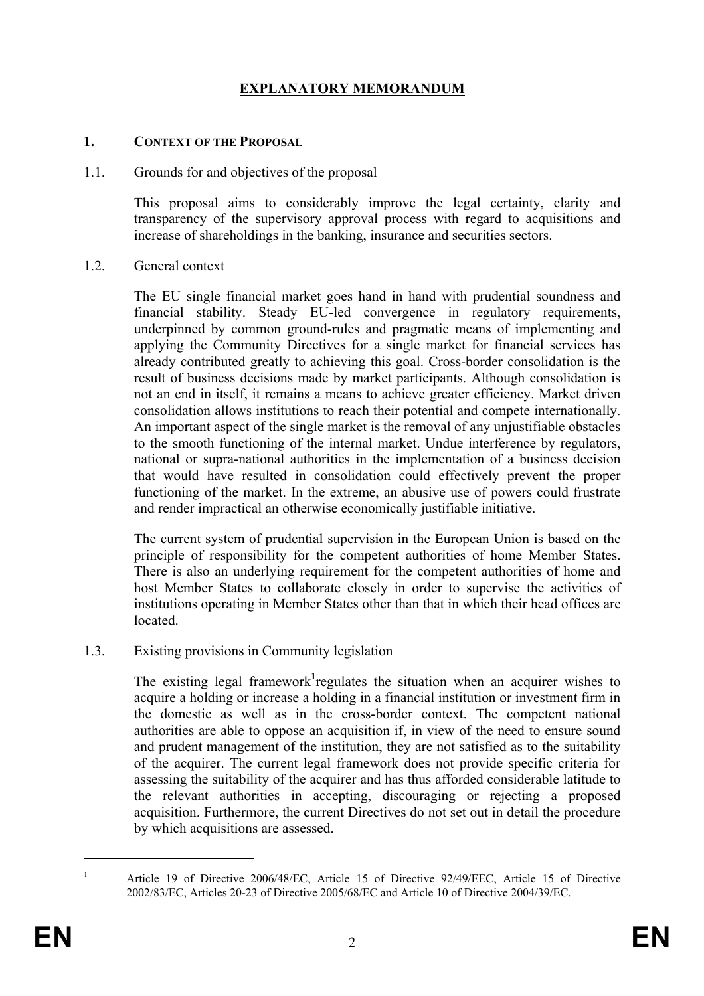# **EXPLANATORY MEMORANDUM**

#### **1. CONTEXT OF THE PROPOSAL**

#### 1.1. Grounds for and objectives of the proposal

This proposal aims to considerably improve the legal certainty, clarity and transparency of the supervisory approval process with regard to acquisitions and increase of shareholdings in the banking, insurance and securities sectors.

#### 1.2. General context

The EU single financial market goes hand in hand with prudential soundness and financial stability. Steady EU-led convergence in regulatory requirements, underpinned by common ground-rules and pragmatic means of implementing and applying the Community Directives for a single market for financial services has already contributed greatly to achieving this goal. Cross-border consolidation is the result of business decisions made by market participants. Although consolidation is not an end in itself, it remains a means to achieve greater efficiency. Market driven consolidation allows institutions to reach their potential and compete internationally. An important aspect of the single market is the removal of any unjustifiable obstacles to the smooth functioning of the internal market. Undue interference by regulators, national or supra-national authorities in the implementation of a business decision that would have resulted in consolidation could effectively prevent the proper functioning of the market. In the extreme, an abusive use of powers could frustrate and render impractical an otherwise economically justifiable initiative.

The current system of prudential supervision in the European Union is based on the principle of responsibility for the competent authorities of home Member States. There is also an underlying requirement for the competent authorities of home and host Member States to collaborate closely in order to supervise the activities of institutions operating in Member States other than that in which their head offices are located.

#### 1.3. Existing provisions in Community legislation

The existing legal framework<sup>1</sup> regulates the situation when an acquirer wishes to acquire a holding or increase a holding in a financial institution or investment firm in the domestic as well as in the cross-border context. The competent national authorities are able to oppose an acquisition if, in view of the need to ensure sound and prudent management of the institution, they are not satisfied as to the suitability of the acquirer. The current legal framework does not provide specific criteria for assessing the suitability of the acquirer and has thus afforded considerable latitude to the relevant authorities in accepting, discouraging or rejecting a proposed acquisition. Furthermore, the current Directives do not set out in detail the procedure by which acquisitions are assessed.

1 1

Article 19 of Directive 2006/48/EC, Article 15 of Directive 92/49/EEC, Article 15 of Directive 2002/83/EC, Articles 20-23 of Directive 2005/68/EC and Article 10 of Directive 2004/39/EC.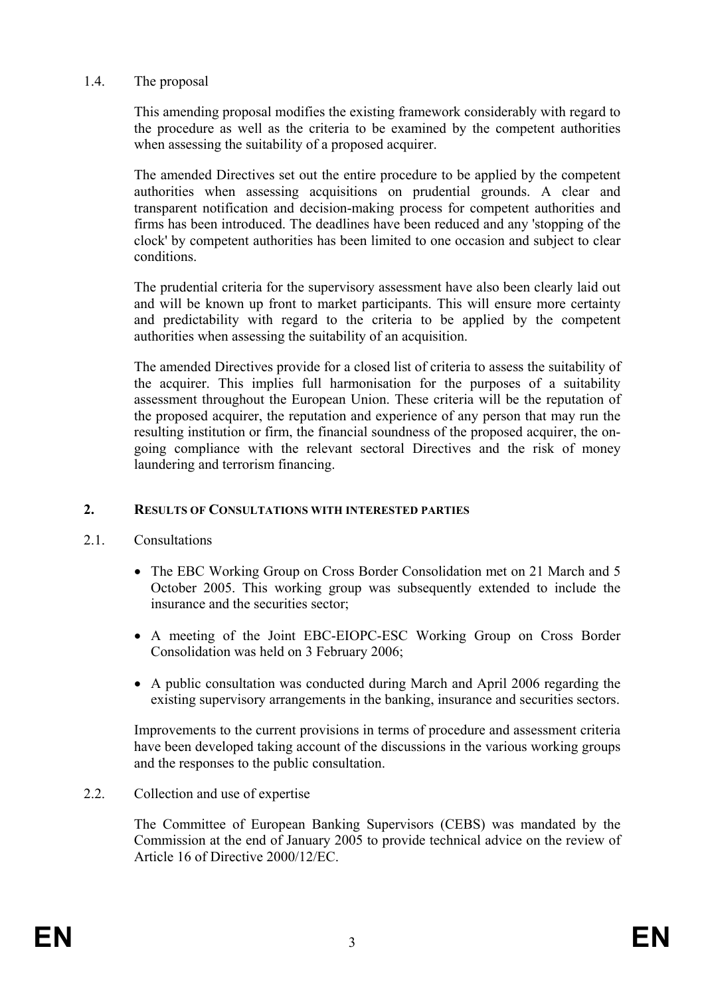## 1.4. The proposal

This amending proposal modifies the existing framework considerably with regard to the procedure as well as the criteria to be examined by the competent authorities when assessing the suitability of a proposed acquirer.

The amended Directives set out the entire procedure to be applied by the competent authorities when assessing acquisitions on prudential grounds. A clear and transparent notification and decision-making process for competent authorities and firms has been introduced. The deadlines have been reduced and any 'stopping of the clock' by competent authorities has been limited to one occasion and subject to clear conditions.

The prudential criteria for the supervisory assessment have also been clearly laid out and will be known up front to market participants. This will ensure more certainty and predictability with regard to the criteria to be applied by the competent authorities when assessing the suitability of an acquisition.

The amended Directives provide for a closed list of criteria to assess the suitability of the acquirer. This implies full harmonisation for the purposes of a suitability assessment throughout the European Union. These criteria will be the reputation of the proposed acquirer, the reputation and experience of any person that may run the resulting institution or firm, the financial soundness of the proposed acquirer, the ongoing compliance with the relevant sectoral Directives and the risk of money laundering and terrorism financing.

#### **2. RESULTS OF CONSULTATIONS WITH INTERESTED PARTIES**

- 2.1. Consultations
	- The EBC Working Group on Cross Border Consolidation met on 21 March and 5 October 2005. This working group was subsequently extended to include the insurance and the securities sector;
	- A meeting of the Joint EBC-EIOPC-ESC Working Group on Cross Border Consolidation was held on 3 February 2006;
	- A public consultation was conducted during March and April 2006 regarding the existing supervisory arrangements in the banking, insurance and securities sectors.

Improvements to the current provisions in terms of procedure and assessment criteria have been developed taking account of the discussions in the various working groups and the responses to the public consultation.

# 2.2. Collection and use of expertise

The Committee of European Banking Supervisors (CEBS) was mandated by the Commission at the end of January 2005 to provide technical advice on the review of Article 16 of Directive 2000/12/EC.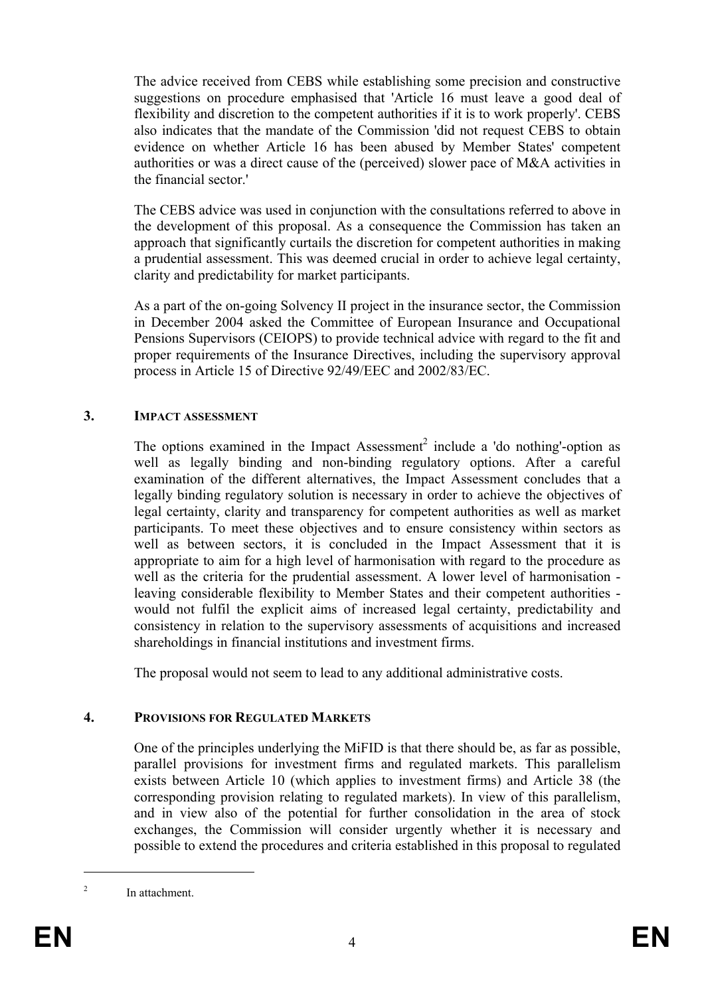The advice received from CEBS while establishing some precision and constructive suggestions on procedure emphasised that 'Article 16 must leave a good deal of flexibility and discretion to the competent authorities if it is to work properly'. CEBS also indicates that the mandate of the Commission 'did not request CEBS to obtain evidence on whether Article 16 has been abused by Member States' competent authorities or was a direct cause of the (perceived) slower pace of M&A activities in the financial sector.'

The CEBS advice was used in conjunction with the consultations referred to above in the development of this proposal. As a consequence the Commission has taken an approach that significantly curtails the discretion for competent authorities in making a prudential assessment. This was deemed crucial in order to achieve legal certainty, clarity and predictability for market participants.

As a part of the on-going Solvency II project in the insurance sector, the Commission in December 2004 asked the Committee of European Insurance and Occupational Pensions Supervisors (CEIOPS) to provide technical advice with regard to the fit and proper requirements of the Insurance Directives, including the supervisory approval process in Article 15 of Directive 92/49/EEC and 2002/83/EC.

## **3. IMPACT ASSESSMENT**

The options examined in the Impact Assessment<sup>2</sup> include a 'do nothing'-option as well as legally binding and non-binding regulatory options. After a careful examination of the different alternatives, the Impact Assessment concludes that a legally binding regulatory solution is necessary in order to achieve the objectives of legal certainty, clarity and transparency for competent authorities as well as market participants. To meet these objectives and to ensure consistency within sectors as well as between sectors, it is concluded in the Impact Assessment that it is appropriate to aim for a high level of harmonisation with regard to the procedure as well as the criteria for the prudential assessment. A lower level of harmonisation leaving considerable flexibility to Member States and their competent authorities would not fulfil the explicit aims of increased legal certainty, predictability and consistency in relation to the supervisory assessments of acquisitions and increased shareholdings in financial institutions and investment firms.

The proposal would not seem to lead to any additional administrative costs.

# **4. PROVISIONS FOR REGULATED MARKETS**

One of the principles underlying the MiFID is that there should be, as far as possible, parallel provisions for investment firms and regulated markets. This parallelism exists between Article 10 (which applies to investment firms) and Article 38 (the corresponding provision relating to regulated markets). In view of this parallelism, and in view also of the potential for further consolidation in the area of stock exchanges, the Commission will consider urgently whether it is necessary and possible to extend the procedures and criteria established in this proposal to regulated

1

<sup>2</sup> In attachment.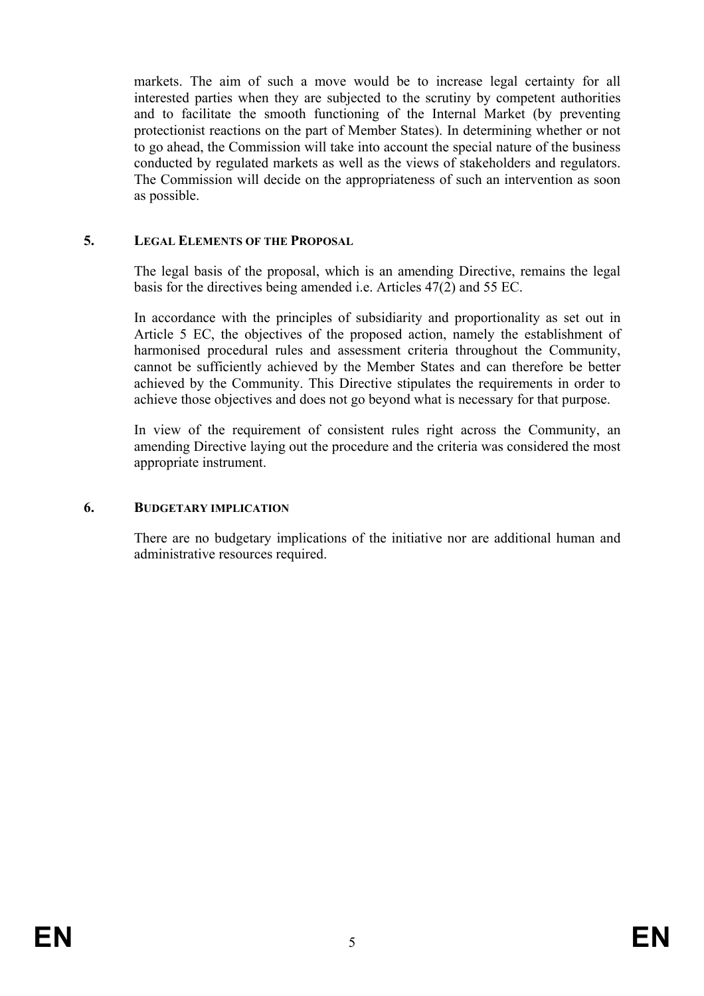markets. The aim of such a move would be to increase legal certainty for all interested parties when they are subjected to the scrutiny by competent authorities and to facilitate the smooth functioning of the Internal Market (by preventing protectionist reactions on the part of Member States). In determining whether or not to go ahead, the Commission will take into account the special nature of the business conducted by regulated markets as well as the views of stakeholders and regulators. The Commission will decide on the appropriateness of such an intervention as soon as possible.

## **5. LEGAL ELEMENTS OF THE PROPOSAL**

The legal basis of the proposal, which is an amending Directive, remains the legal basis for the directives being amended i.e. Articles 47(2) and 55 EC.

In accordance with the principles of subsidiarity and proportionality as set out in Article 5 EC, the objectives of the proposed action, namely the establishment of harmonised procedural rules and assessment criteria throughout the Community, cannot be sufficiently achieved by the Member States and can therefore be better achieved by the Community. This Directive stipulates the requirements in order to achieve those objectives and does not go beyond what is necessary for that purpose.

In view of the requirement of consistent rules right across the Community, an amending Directive laying out the procedure and the criteria was considered the most appropriate instrument.

#### **6. BUDGETARY IMPLICATION**

There are no budgetary implications of the initiative nor are additional human and administrative resources required.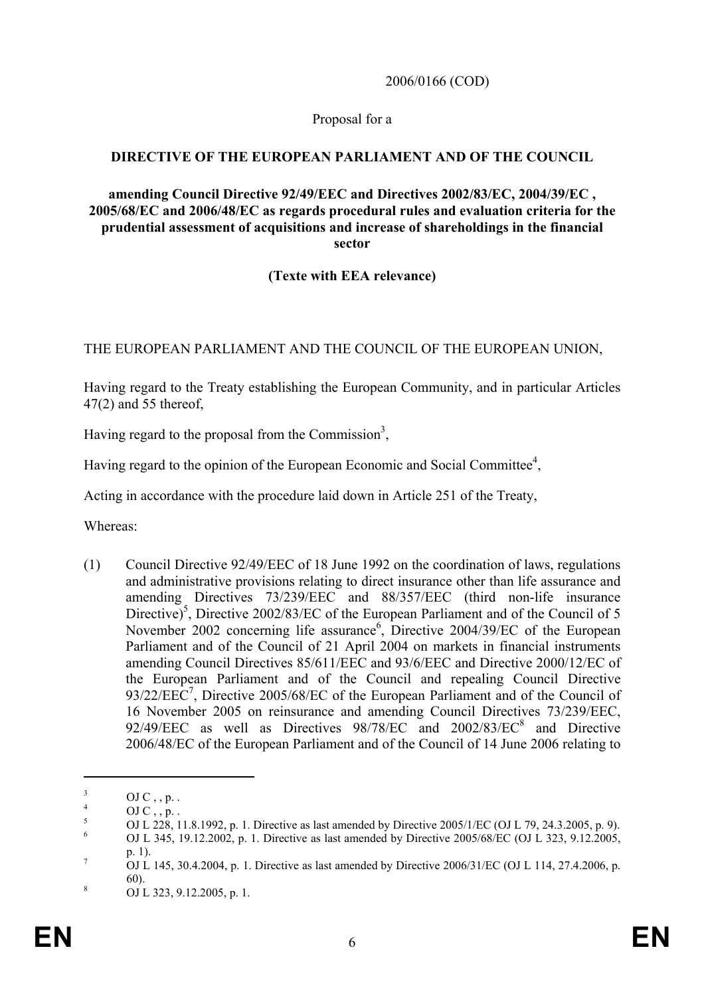2006/0166 (COD)

#### Proposal for a

## **DIRECTIVE OF THE EUROPEAN PARLIAMENT AND OF THE COUNCIL**

#### **amending Council Directive 92/49/EEC and Directives 2002/83/EC, 2004/39/EC , 2005/68/EC and 2006/48/EC as regards procedural rules and evaluation criteria for the prudential assessment of acquisitions and increase of shareholdings in the financial sector**

## **(Texte with EEA relevance)**

## THE EUROPEAN PARLIAMENT AND THE COUNCIL OF THE EUROPEAN UNION,

Having regard to the Treaty establishing the European Community, and in particular Articles 47(2) and 55 thereof,

Having regard to the proposal from the Commission<sup>3</sup>,

Having regard to the opinion of the European Economic and Social Committee<sup>4</sup>,

Acting in accordance with the procedure laid down in Article 251 of the Treaty,

Whereas:

(1) Council Directive 92/49/EEC of 18 June 1992 on the coordination of laws, regulations and administrative provisions relating to direct insurance other than life assurance and amending Directives 73/239/EEC and 88/357/EEC (third non-life insurance Directive)<sup>5</sup>, Directive 2002/83/EC of the European Parliament and of the Council of 5 November 2002 concerning life assurance<sup>6</sup>, Directive 2004/39/EC of the European Parliament and of the Council of 21 April 2004 on markets in financial instruments amending Council Directives 85/611/EEC and 93/6/EEC and Directive 2000/12/EC of the European Parliament and of the Council and repealing Council Directive  $93/22/EEC<sup>7</sup>$ , Directive 2005/68/EC of the European Parliament and of the Council of 16 November 2005 on reinsurance and amending Council Directives 73/239/EEC,  $92/49/EEC$  as well as Directives  $98/78/EC$  and  $2002/83/EC<sup>8</sup>$  and Directive 2006/48/EC of the European Parliament and of the Council of 14 June 2006 relating to

1

<sup>3</sup> OJ C , , p. .

<sup>4</sup> OJ C , , p. .

<sup>5</sup> OJ L 228, 11.8.1992, p. 1. Directive as last amended by Directive 2005/1/EC (OJ L 79, 24.3.2005, p. 9).

<sup>6</sup> OJ L 345, 19.12.2002, p. 1. Directive as last amended by Directive 2005/68/EC (OJ L 323, 9.12.2005,  $\frac{p. 1}{Q_{11}}$ .

OJ L 145, 30.4.2004, p. 1. Directive as last amended by Directive 2006/31/EC (OJ L 114, 27.4.2006, p.  $\frac{60}{8}$ .

OJ L 323, 9.12.2005, p. 1.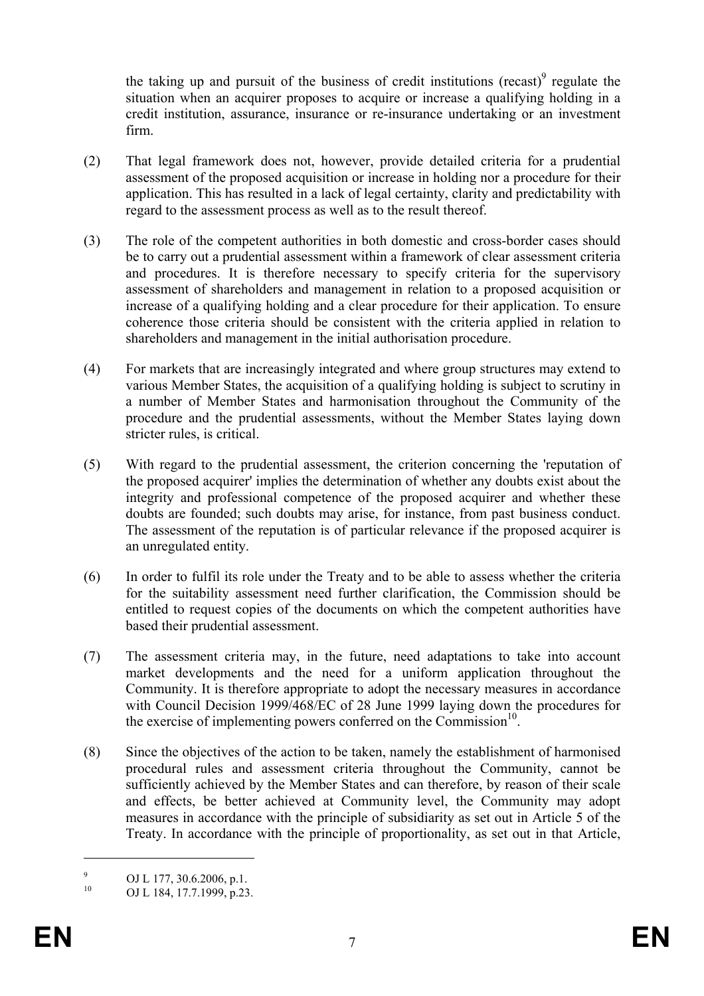the taking up and pursuit of the business of credit institutions (recast) $\degree$  regulate the situation when an acquirer proposes to acquire or increase a qualifying holding in a credit institution, assurance, insurance or re-insurance undertaking or an investment firm.

- (2) That legal framework does not, however, provide detailed criteria for a prudential assessment of the proposed acquisition or increase in holding nor a procedure for their application. This has resulted in a lack of legal certainty, clarity and predictability with regard to the assessment process as well as to the result thereof.
- (3) The role of the competent authorities in both domestic and cross-border cases should be to carry out a prudential assessment within a framework of clear assessment criteria and procedures. It is therefore necessary to specify criteria for the supervisory assessment of shareholders and management in relation to a proposed acquisition or increase of a qualifying holding and a clear procedure for their application. To ensure coherence those criteria should be consistent with the criteria applied in relation to shareholders and management in the initial authorisation procedure.
- (4) For markets that are increasingly integrated and where group structures may extend to various Member States, the acquisition of a qualifying holding is subject to scrutiny in a number of Member States and harmonisation throughout the Community of the procedure and the prudential assessments, without the Member States laying down stricter rules, is critical.
- (5) With regard to the prudential assessment, the criterion concerning the 'reputation of the proposed acquirer' implies the determination of whether any doubts exist about the integrity and professional competence of the proposed acquirer and whether these doubts are founded; such doubts may arise, for instance, from past business conduct. The assessment of the reputation is of particular relevance if the proposed acquirer is an unregulated entity.
- (6) In order to fulfil its role under the Treaty and to be able to assess whether the criteria for the suitability assessment need further clarification, the Commission should be entitled to request copies of the documents on which the competent authorities have based their prudential assessment.
- (7) The assessment criteria may, in the future, need adaptations to take into account market developments and the need for a uniform application throughout the Community. It is therefore appropriate to adopt the necessary measures in accordance with Council Decision 1999/468/EC of 28 June 1999 laying down the procedures for the exercise of implementing powers conferred on the Commission $10$ .
- (8) Since the objectives of the action to be taken, namely the establishment of harmonised procedural rules and assessment criteria throughout the Community, cannot be sufficiently achieved by the Member States and can therefore, by reason of their scale and effects, be better achieved at Community level, the Community may adopt measures in accordance with the principle of subsidiarity as set out in Article 5 of the Treaty. In accordance with the principle of proportionality, as set out in that Article,

1

<sup>9</sup> <sup>9</sup> OJ L 177, 30.6.2006, p.1.<br><sup>10</sup> OJ L 184, 17.7, 1000, p.22

OJ L 184, 17.7.1999, p.23.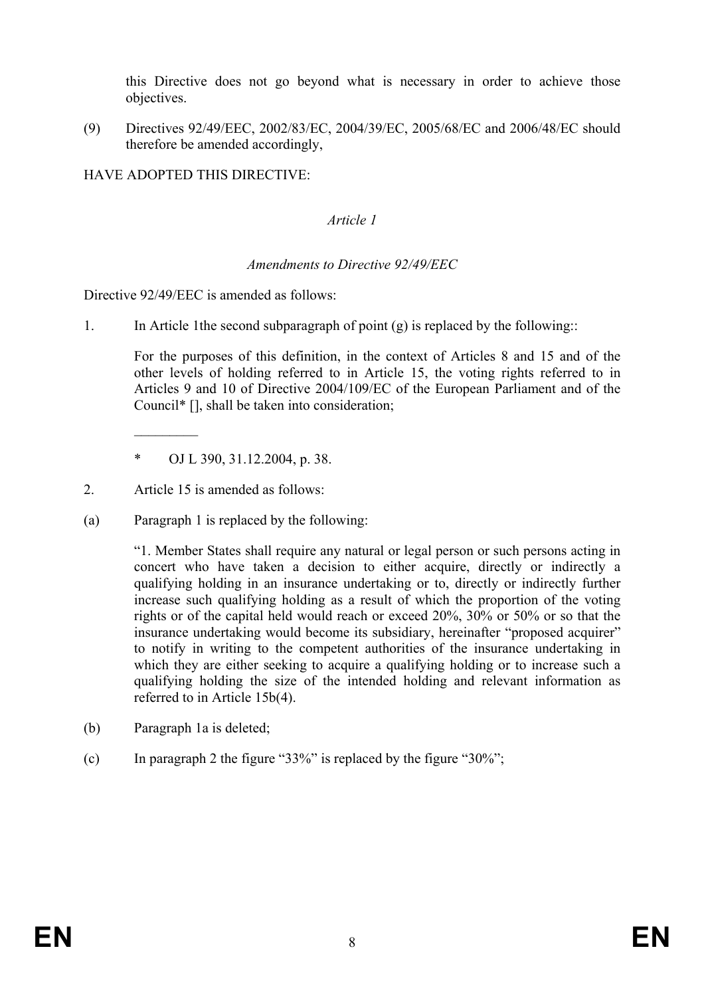this Directive does not go beyond what is necessary in order to achieve those objectives.

(9) Directives 92/49/EEC, 2002/83/EC, 2004/39/EC, 2005/68/EC and 2006/48/EC should therefore be amended accordingly,

HAVE ADOPTED THIS DIRECTIVE:

## *Article 1*

## *Amendments to Directive 92/49/EEC*

Directive 92/49/EEC is amended as follows:

1. In Article 1the second subparagraph of point (g) is replaced by the following::

For the purposes of this definition, in the context of Articles 8 and 15 and of the other levels of holding referred to in Article 15, the voting rights referred to in Articles 9 and 10 of Directive 2004/109/EC of the European Parliament and of the Council\* [], shall be taken into consideration;

- \* OJ L 390, 31.12.2004, p. 38.
- 2. Article 15 is amended as follows:

 $\frac{1}{2}$ 

(a) Paragraph 1 is replaced by the following:

"1. Member States shall require any natural or legal person or such persons acting in concert who have taken a decision to either acquire, directly or indirectly a qualifying holding in an insurance undertaking or to, directly or indirectly further increase such qualifying holding as a result of which the proportion of the voting rights or of the capital held would reach or exceed 20%, 30% or 50% or so that the insurance undertaking would become its subsidiary, hereinafter "proposed acquirer" to notify in writing to the competent authorities of the insurance undertaking in which they are either seeking to acquire a qualifying holding or to increase such a qualifying holding the size of the intended holding and relevant information as referred to in Article 15b(4).

- (b) Paragraph 1a is deleted;
- (c) In paragraph 2 the figure "33%" is replaced by the figure "30%";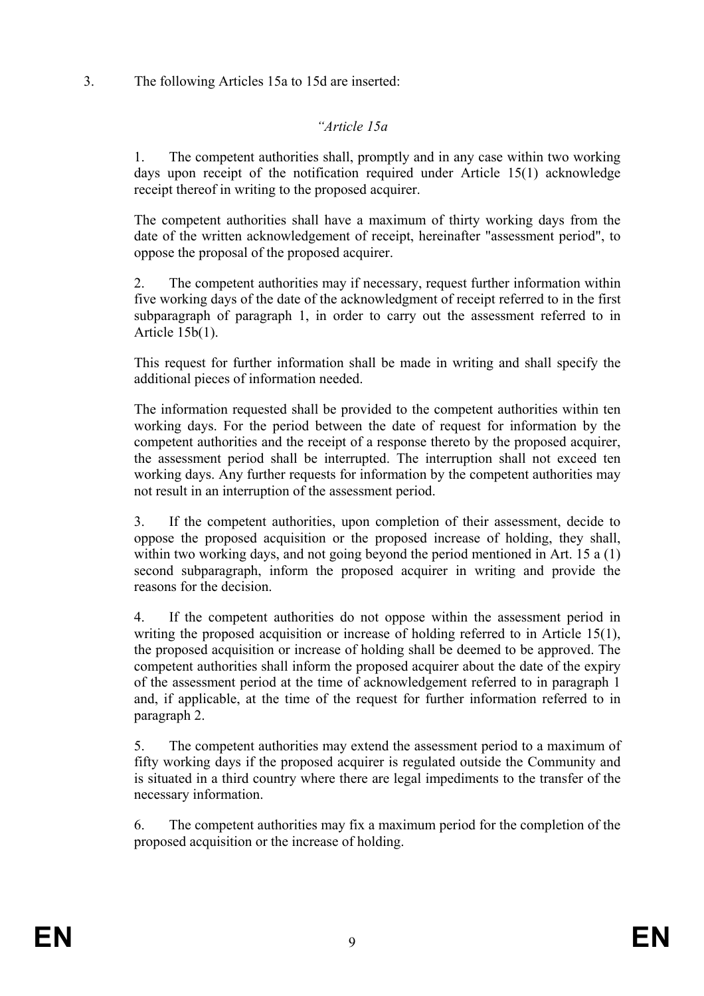3. The following Articles 15a to 15d are inserted:

# *"Article 15a*

1. The competent authorities shall, promptly and in any case within two working days upon receipt of the notification required under Article 15(1) acknowledge receipt thereof in writing to the proposed acquirer.

The competent authorities shall have a maximum of thirty working days from the date of the written acknowledgement of receipt, hereinafter "assessment period", to oppose the proposal of the proposed acquirer.

2. The competent authorities may if necessary, request further information within five working days of the date of the acknowledgment of receipt referred to in the first subparagraph of paragraph 1, in order to carry out the assessment referred to in Article 15b(1).

This request for further information shall be made in writing and shall specify the additional pieces of information needed.

The information requested shall be provided to the competent authorities within ten working days. For the period between the date of request for information by the competent authorities and the receipt of a response thereto by the proposed acquirer, the assessment period shall be interrupted. The interruption shall not exceed ten working days. Any further requests for information by the competent authorities may not result in an interruption of the assessment period.

3. If the competent authorities, upon completion of their assessment, decide to oppose the proposed acquisition or the proposed increase of holding, they shall, within two working days, and not going beyond the period mentioned in Art. 15 a (1) second subparagraph, inform the proposed acquirer in writing and provide the reasons for the decision.

4. If the competent authorities do not oppose within the assessment period in writing the proposed acquisition or increase of holding referred to in Article 15(1), the proposed acquisition or increase of holding shall be deemed to be approved. The competent authorities shall inform the proposed acquirer about the date of the expiry of the assessment period at the time of acknowledgement referred to in paragraph 1 and, if applicable, at the time of the request for further information referred to in paragraph 2.

5. The competent authorities may extend the assessment period to a maximum of fifty working days if the proposed acquirer is regulated outside the Community and is situated in a third country where there are legal impediments to the transfer of the necessary information.

6. The competent authorities may fix a maximum period for the completion of the proposed acquisition or the increase of holding.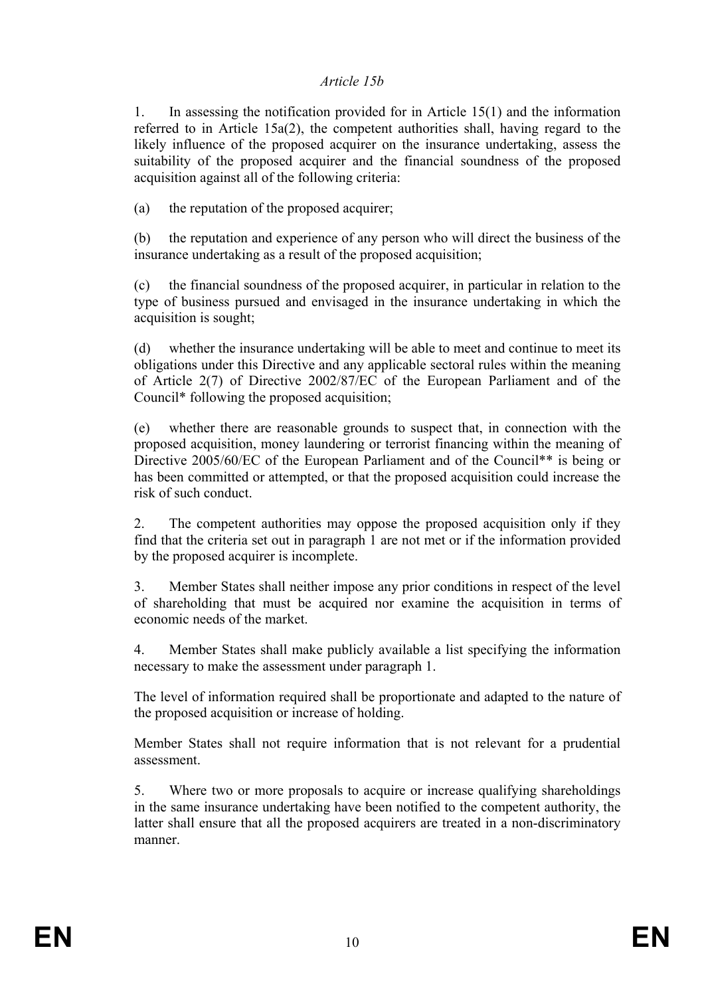#### *Article 15b*

1. In assessing the notification provided for in Article 15(1) and the information referred to in Article 15a(2), the competent authorities shall, having regard to the likely influence of the proposed acquirer on the insurance undertaking, assess the suitability of the proposed acquirer and the financial soundness of the proposed acquisition against all of the following criteria:

(a) the reputation of the proposed acquirer;

(b) the reputation and experience of any person who will direct the business of the insurance undertaking as a result of the proposed acquisition;

(c) the financial soundness of the proposed acquirer, in particular in relation to the type of business pursued and envisaged in the insurance undertaking in which the acquisition is sought;

(d) whether the insurance undertaking will be able to meet and continue to meet its obligations under this Directive and any applicable sectoral rules within the meaning of Article 2(7) of Directive 2002/87/EC of the European Parliament and of the Council\* following the proposed acquisition;

(e) whether there are reasonable grounds to suspect that, in connection with the proposed acquisition, money laundering or terrorist financing within the meaning of Directive 2005/60/EC of the European Parliament and of the Council<sup>\*\*</sup> is being or has been committed or attempted, or that the proposed acquisition could increase the risk of such conduct.

2. The competent authorities may oppose the proposed acquisition only if they find that the criteria set out in paragraph 1 are not met or if the information provided by the proposed acquirer is incomplete.

3. Member States shall neither impose any prior conditions in respect of the level of shareholding that must be acquired nor examine the acquisition in terms of economic needs of the market.

4. Member States shall make publicly available a list specifying the information necessary to make the assessment under paragraph 1.

The level of information required shall be proportionate and adapted to the nature of the proposed acquisition or increase of holding.

Member States shall not require information that is not relevant for a prudential assessment.

5. Where two or more proposals to acquire or increase qualifying shareholdings in the same insurance undertaking have been notified to the competent authority, the latter shall ensure that all the proposed acquirers are treated in a non-discriminatory manner.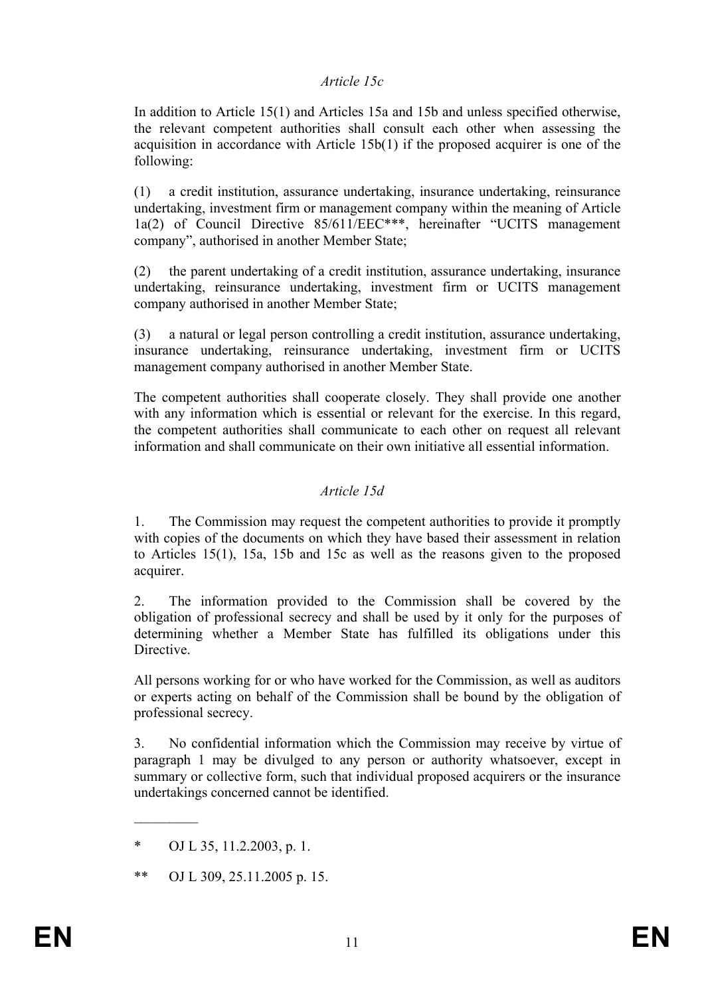#### *Article 15c*

In addition to Article 15(1) and Articles 15a and 15b and unless specified otherwise, the relevant competent authorities shall consult each other when assessing the acquisition in accordance with Article 15b(1) if the proposed acquirer is one of the following:

(1) a credit institution, assurance undertaking, insurance undertaking, reinsurance undertaking, investment firm or management company within the meaning of Article 1a(2) of Council Directive 85/611/EEC\*\*\*, hereinafter "UCITS management company", authorised in another Member State;

(2) the parent undertaking of a credit institution, assurance undertaking, insurance undertaking, reinsurance undertaking, investment firm or UCITS management company authorised in another Member State;

(3) a natural or legal person controlling a credit institution, assurance undertaking, insurance undertaking, reinsurance undertaking, investment firm or UCITS management company authorised in another Member State.

The competent authorities shall cooperate closely. They shall provide one another with any information which is essential or relevant for the exercise. In this regard, the competent authorities shall communicate to each other on request all relevant information and shall communicate on their own initiative all essential information.

## *Article 15d*

1. The Commission may request the competent authorities to provide it promptly with copies of the documents on which they have based their assessment in relation to Articles 15(1), 15a, 15b and 15c as well as the reasons given to the proposed acquirer.

2. The information provided to the Commission shall be covered by the obligation of professional secrecy and shall be used by it only for the purposes of determining whether a Member State has fulfilled its obligations under this Directive.

All persons working for or who have worked for the Commission, as well as auditors or experts acting on behalf of the Commission shall be bound by the obligation of professional secrecy.

3. No confidential information which the Commission may receive by virtue of paragraph 1 may be divulged to any person or authority whatsoever, except in summary or collective form, such that individual proposed acquirers or the insurance undertakings concerned cannot be identified.

 $\mathcal{L}_\text{max}$ 

<sup>\*</sup> OJ L 35, 11.2.2003, p. 1.

<sup>\*\*</sup> OJ L 309, 25.11.2005 p. 15.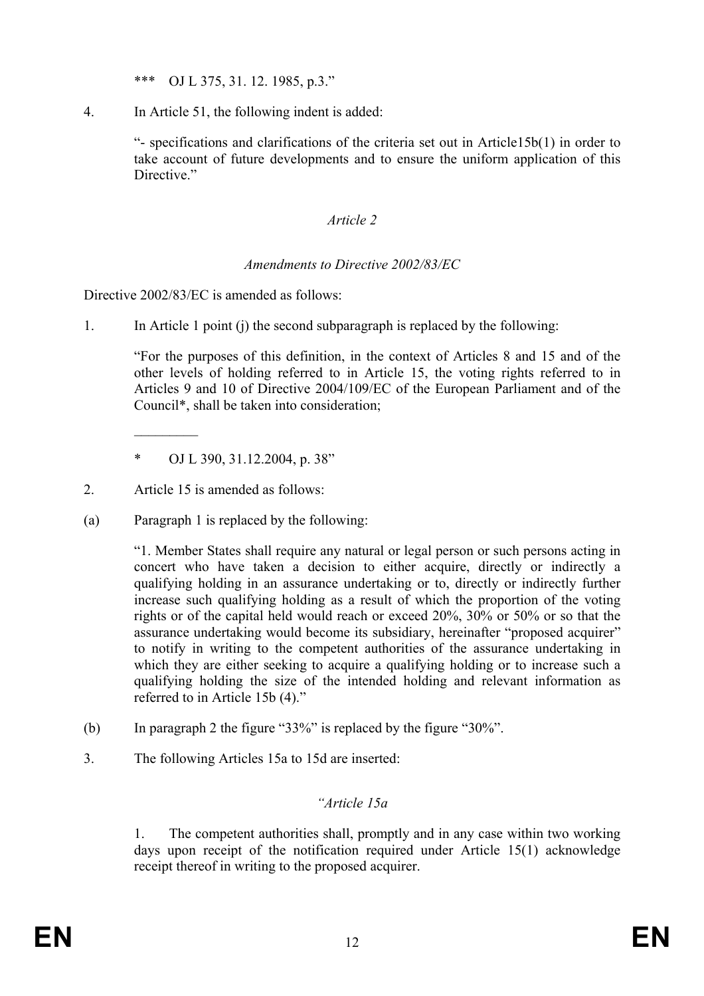\*\*\* OJ L 375, 31. 12. 1985, p.3."

4. In Article 51, the following indent is added:

"- specifications and clarifications of the criteria set out in Article15b(1) in order to take account of future developments and to ensure the uniform application of this Directive."

# *Article 2*

# *Amendments to Directive 2002/83/EC*

Directive 2002/83/EC is amended as follows:

1. In Article 1 point (j) the second subparagraph is replaced by the following:

"For the purposes of this definition, in the context of Articles 8 and 15 and of the other levels of holding referred to in Article 15, the voting rights referred to in Articles 9 and 10 of Directive 2004/109/EC of the European Parliament and of the Council\*, shall be taken into consideration;

- \* OJ L 390, 31.12.2004, p. 38"
- 2. Article 15 is amended as follows:

 $\frac{1}{2}$ 

(a) Paragraph 1 is replaced by the following:

"1. Member States shall require any natural or legal person or such persons acting in concert who have taken a decision to either acquire, directly or indirectly a qualifying holding in an assurance undertaking or to, directly or indirectly further increase such qualifying holding as a result of which the proportion of the voting rights or of the capital held would reach or exceed 20%, 30% or 50% or so that the assurance undertaking would become its subsidiary, hereinafter "proposed acquirer" to notify in writing to the competent authorities of the assurance undertaking in which they are either seeking to acquire a qualifying holding or to increase such a qualifying holding the size of the intended holding and relevant information as referred to in Article 15b (4)."

- (b) In paragraph 2 the figure "33%" is replaced by the figure "30%".
- 3. The following Articles 15a to 15d are inserted:

# *"Article 15a*

1. The competent authorities shall, promptly and in any case within two working days upon receipt of the notification required under Article 15(1) acknowledge receipt thereof in writing to the proposed acquirer.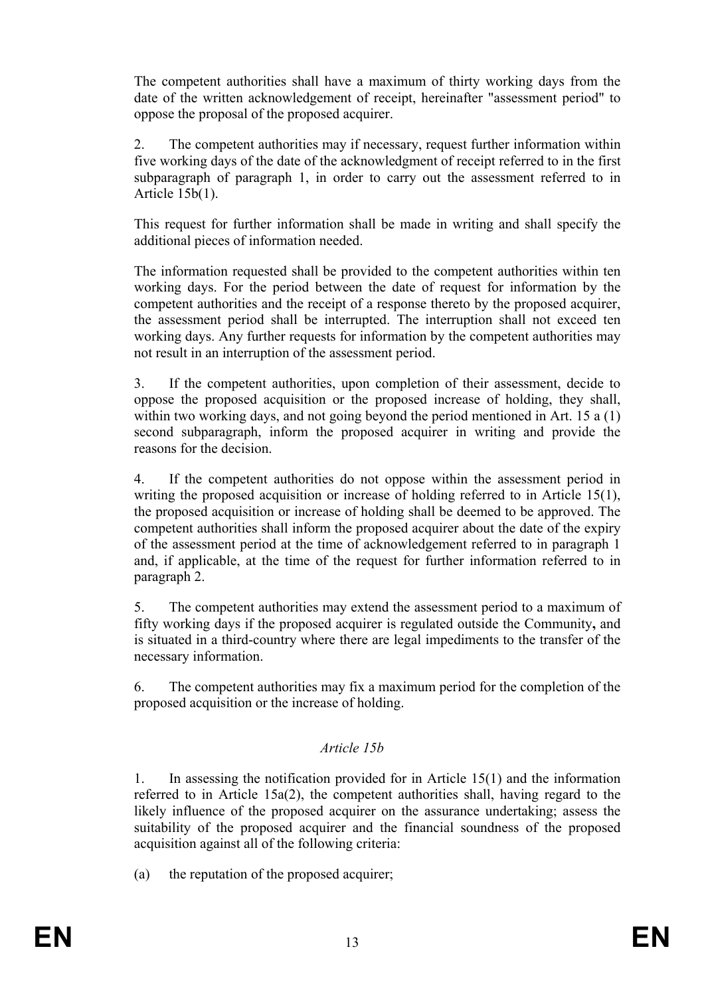The competent authorities shall have a maximum of thirty working days from the date of the written acknowledgement of receipt, hereinafter "assessment period" to oppose the proposal of the proposed acquirer.

2. The competent authorities may if necessary, request further information within five working days of the date of the acknowledgment of receipt referred to in the first subparagraph of paragraph 1, in order to carry out the assessment referred to in Article 15b(1).

This request for further information shall be made in writing and shall specify the additional pieces of information needed.

The information requested shall be provided to the competent authorities within ten working days. For the period between the date of request for information by the competent authorities and the receipt of a response thereto by the proposed acquirer, the assessment period shall be interrupted. The interruption shall not exceed ten working days. Any further requests for information by the competent authorities may not result in an interruption of the assessment period.

3. If the competent authorities, upon completion of their assessment, decide to oppose the proposed acquisition or the proposed increase of holding, they shall, within two working days, and not going beyond the period mentioned in Art. 15 a (1) second subparagraph, inform the proposed acquirer in writing and provide the reasons for the decision.

4. If the competent authorities do not oppose within the assessment period in writing the proposed acquisition or increase of holding referred to in Article 15(1), the proposed acquisition or increase of holding shall be deemed to be approved. The competent authorities shall inform the proposed acquirer about the date of the expiry of the assessment period at the time of acknowledgement referred to in paragraph 1 and, if applicable, at the time of the request for further information referred to in paragraph 2.

5. The competent authorities may extend the assessment period to a maximum of fifty working days if the proposed acquirer is regulated outside the Community**,** and is situated in a third-country where there are legal impediments to the transfer of the necessary information.

6. The competent authorities may fix a maximum period for the completion of the proposed acquisition or the increase of holding.

# *Article 15b*

1. In assessing the notification provided for in Article 15(1) and the information referred to in Article 15a(2), the competent authorities shall, having regard to the likely influence of the proposed acquirer on the assurance undertaking; assess the suitability of the proposed acquirer and the financial soundness of the proposed acquisition against all of the following criteria:

(a) the reputation of the proposed acquirer;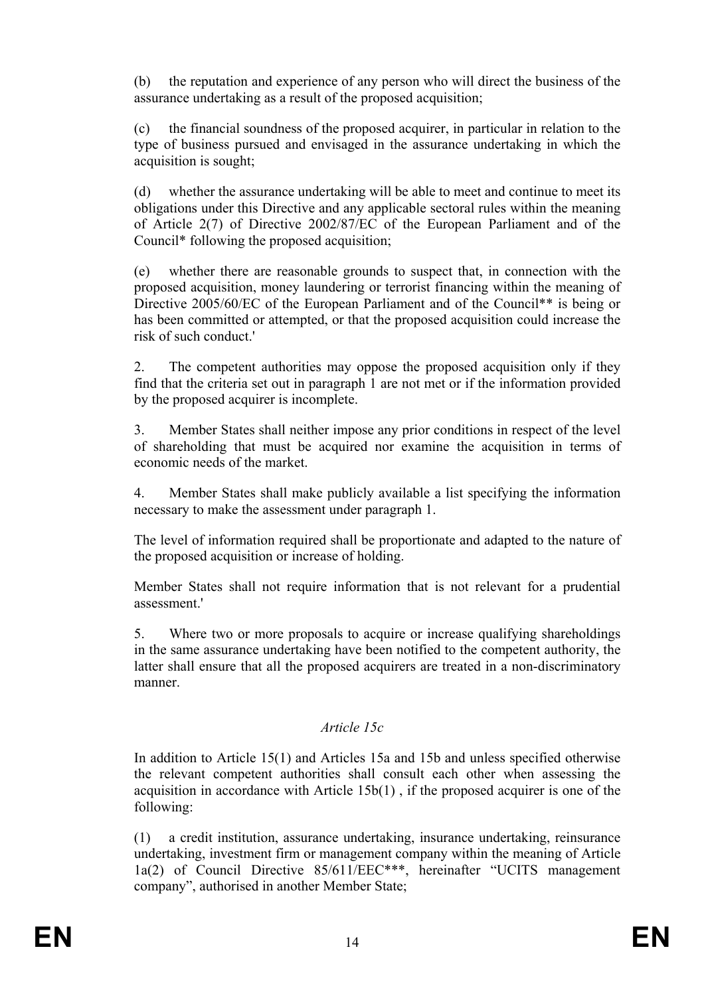(b) the reputation and experience of any person who will direct the business of the assurance undertaking as a result of the proposed acquisition;

(c) the financial soundness of the proposed acquirer, in particular in relation to the type of business pursued and envisaged in the assurance undertaking in which the acquisition is sought;

(d) whether the assurance undertaking will be able to meet and continue to meet its obligations under this Directive and any applicable sectoral rules within the meaning of Article 2(7) of Directive 2002/87/EC of the European Parliament and of the Council\* following the proposed acquisition;

(e) whether there are reasonable grounds to suspect that, in connection with the proposed acquisition, money laundering or terrorist financing within the meaning of Directive 2005/60/EC of the European Parliament and of the Council<sup>\*\*</sup> is being or has been committed or attempted, or that the proposed acquisition could increase the risk of such conduct.'

2. The competent authorities may oppose the proposed acquisition only if they find that the criteria set out in paragraph 1 are not met or if the information provided by the proposed acquirer is incomplete.

3. Member States shall neither impose any prior conditions in respect of the level of shareholding that must be acquired nor examine the acquisition in terms of economic needs of the market.

4. Member States shall make publicly available a list specifying the information necessary to make the assessment under paragraph 1.

The level of information required shall be proportionate and adapted to the nature of the proposed acquisition or increase of holding.

Member States shall not require information that is not relevant for a prudential assessment.'

5. Where two or more proposals to acquire or increase qualifying shareholdings in the same assurance undertaking have been notified to the competent authority, the latter shall ensure that all the proposed acquirers are treated in a non-discriminatory manner.

# *Article 15c*

In addition to Article 15(1) and Articles 15a and 15b and unless specified otherwise the relevant competent authorities shall consult each other when assessing the acquisition in accordance with Article 15b(1) , if the proposed acquirer is one of the following:

(1) a credit institution, assurance undertaking, insurance undertaking, reinsurance undertaking, investment firm or management company within the meaning of Article 1a(2) of Council Directive 85/611/EEC\*\*\*, hereinafter "UCITS management company", authorised in another Member State;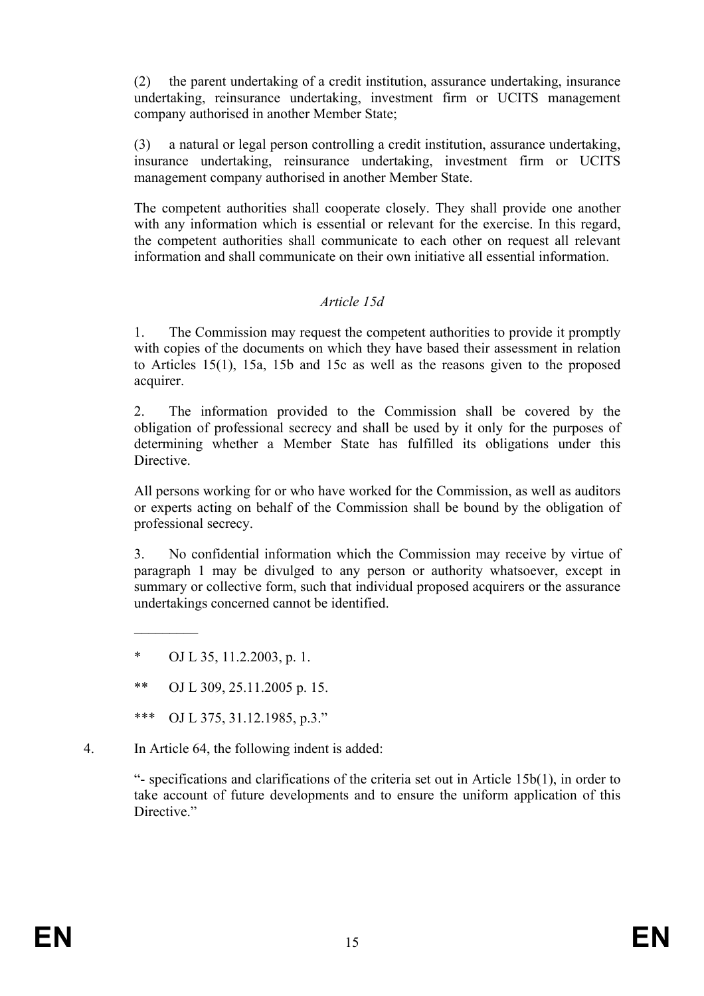(2) the parent undertaking of a credit institution, assurance undertaking, insurance undertaking, reinsurance undertaking, investment firm or UCITS management company authorised in another Member State;

(3) a natural or legal person controlling a credit institution, assurance undertaking, insurance undertaking, reinsurance undertaking, investment firm or UCITS management company authorised in another Member State.

The competent authorities shall cooperate closely. They shall provide one another with any information which is essential or relevant for the exercise. In this regard, the competent authorities shall communicate to each other on request all relevant information and shall communicate on their own initiative all essential information.

## *Article 15d*

1. The Commission may request the competent authorities to provide it promptly with copies of the documents on which they have based their assessment in relation to Articles 15(1), 15a, 15b and 15c as well as the reasons given to the proposed acquirer.

2. The information provided to the Commission shall be covered by the obligation of professional secrecy and shall be used by it only for the purposes of determining whether a Member State has fulfilled its obligations under this Directive.

All persons working for or who have worked for the Commission, as well as auditors or experts acting on behalf of the Commission shall be bound by the obligation of professional secrecy.

3. No confidential information which the Commission may receive by virtue of paragraph 1 may be divulged to any person or authority whatsoever, except in summary or collective form, such that individual proposed acquirers or the assurance undertakings concerned cannot be identified.

 $\frac{1}{2}$ 

4. In Article 64, the following indent is added:

"- specifications and clarifications of the criteria set out in Article 15b(1), in order to take account of future developments and to ensure the uniform application of this Directive."

OJ L 35, 11.2.2003, p. 1.

<sup>\*\*</sup> OJ L 309, 25.11.2005 p. 15.

<sup>\*\*\*</sup> OJ L 375, 31.12.1985, p.3."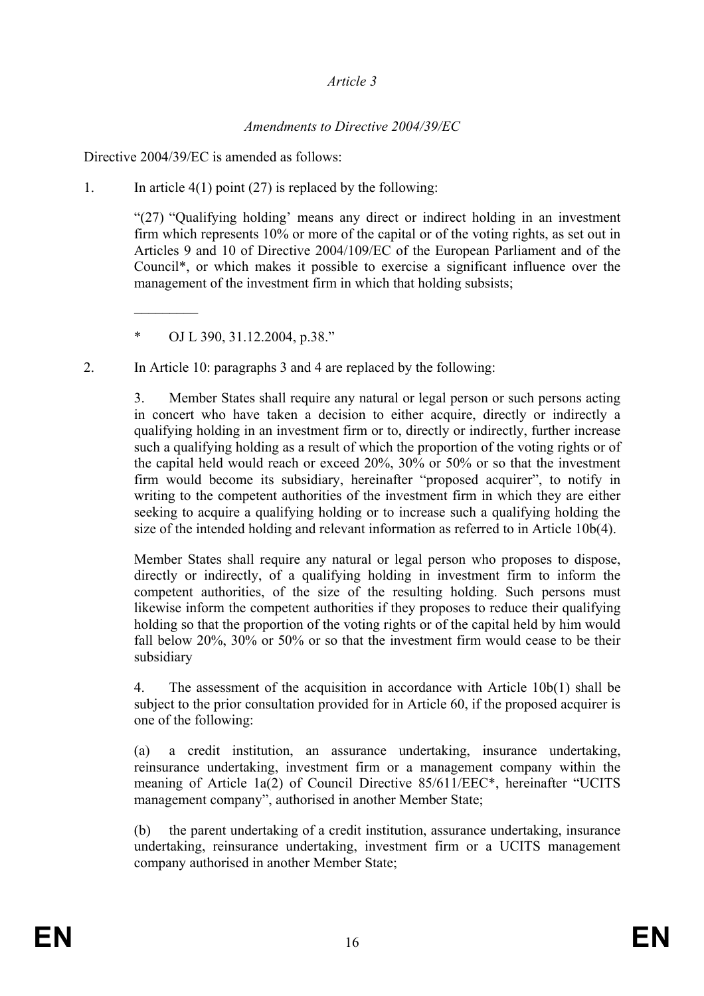## *Article 3*

# *Amendments to Directive 2004/39/EC*

Directive 2004/39/EC is amended as follows:

1. In article  $4(1)$  point (27) is replaced by the following:

"(27) "Qualifying holding' means any direct or indirect holding in an investment firm which represents 10% or more of the capital or of the voting rights, as set out in Articles 9 and 10 of Directive 2004/109/EC of the European Parliament and of the Council\*, or which makes it possible to exercise a significant influence over the management of the investment firm in which that holding subsists;

 $\mathcal{L}_\text{max}$ 

2. In Article 10: paragraphs 3 and 4 are replaced by the following:

3. Member States shall require any natural or legal person or such persons acting in concert who have taken a decision to either acquire, directly or indirectly a qualifying holding in an investment firm or to, directly or indirectly, further increase such a qualifying holding as a result of which the proportion of the voting rights or of the capital held would reach or exceed 20%, 30% or 50% or so that the investment firm would become its subsidiary, hereinafter "proposed acquirer", to notify in writing to the competent authorities of the investment firm in which they are either seeking to acquire a qualifying holding or to increase such a qualifying holding the size of the intended holding and relevant information as referred to in Article 10b(4).

Member States shall require any natural or legal person who proposes to dispose, directly or indirectly, of a qualifying holding in investment firm to inform the competent authorities, of the size of the resulting holding. Such persons must likewise inform the competent authorities if they proposes to reduce their qualifying holding so that the proportion of the voting rights or of the capital held by him would fall below 20%, 30% or 50% or so that the investment firm would cease to be their subsidiary

4. The assessment of the acquisition in accordance with Article 10b(1) shall be subject to the prior consultation provided for in Article 60, if the proposed acquirer is one of the following:

(a) a credit institution, an assurance undertaking, insurance undertaking, reinsurance undertaking, investment firm or a management company within the meaning of Article 1a(2) of Council Directive 85/611/EEC\*, hereinafter "UCITS management company", authorised in another Member State;

(b) the parent undertaking of a credit institution, assurance undertaking, insurance undertaking, reinsurance undertaking, investment firm or a UCITS management company authorised in another Member State;

<sup>\*</sup> OJ L 390, 31.12.2004, p.38."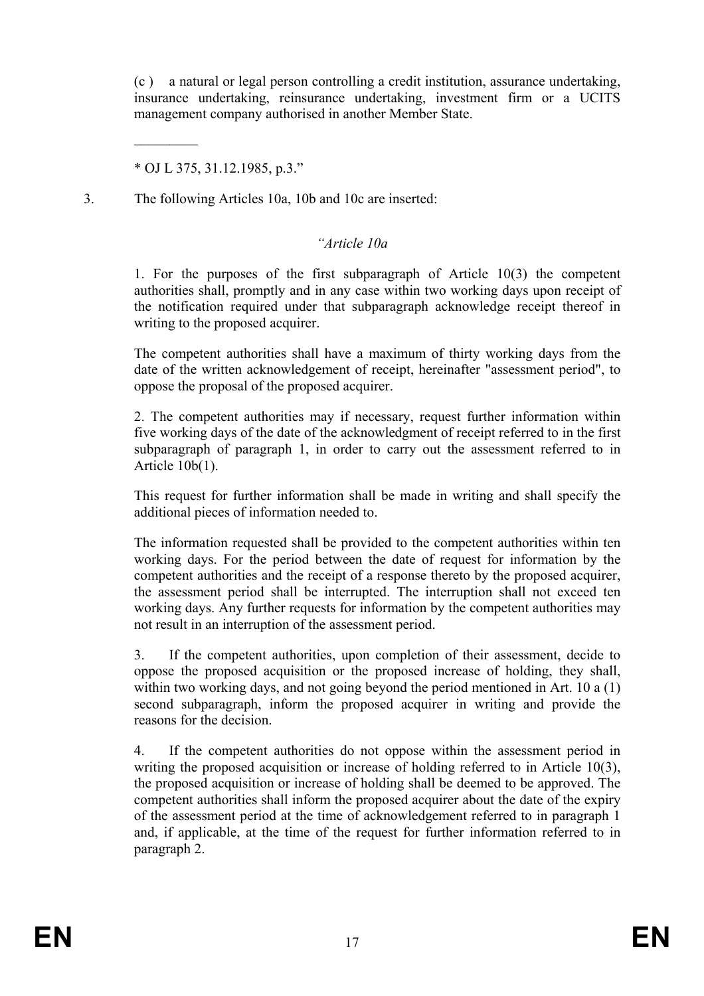(c ) a natural or legal person controlling a credit institution, assurance undertaking, insurance undertaking, reinsurance undertaking, investment firm or a UCITS management company authorised in another Member State.

\* OJ L 375, 31.12.1985, p.3."

 $\mathcal{L}_\text{max}$ 

3. The following Articles 10a, 10b and 10c are inserted:

#### *"Article 10a*

1. For the purposes of the first subparagraph of Article 10(3) the competent authorities shall, promptly and in any case within two working days upon receipt of the notification required under that subparagraph acknowledge receipt thereof in writing to the proposed acquirer.

The competent authorities shall have a maximum of thirty working days from the date of the written acknowledgement of receipt, hereinafter "assessment period", to oppose the proposal of the proposed acquirer.

2. The competent authorities may if necessary, request further information within five working days of the date of the acknowledgment of receipt referred to in the first subparagraph of paragraph 1, in order to carry out the assessment referred to in Article 10b(1).

This request for further information shall be made in writing and shall specify the additional pieces of information needed to.

The information requested shall be provided to the competent authorities within ten working days. For the period between the date of request for information by the competent authorities and the receipt of a response thereto by the proposed acquirer, the assessment period shall be interrupted. The interruption shall not exceed ten working days. Any further requests for information by the competent authorities may not result in an interruption of the assessment period.

3. If the competent authorities, upon completion of their assessment, decide to oppose the proposed acquisition or the proposed increase of holding, they shall, within two working days, and not going beyond the period mentioned in Art. 10 a (1) second subparagraph, inform the proposed acquirer in writing and provide the reasons for the decision.

4. If the competent authorities do not oppose within the assessment period in writing the proposed acquisition or increase of holding referred to in Article 10(3), the proposed acquisition or increase of holding shall be deemed to be approved. The competent authorities shall inform the proposed acquirer about the date of the expiry of the assessment period at the time of acknowledgement referred to in paragraph 1 and, if applicable, at the time of the request for further information referred to in paragraph 2.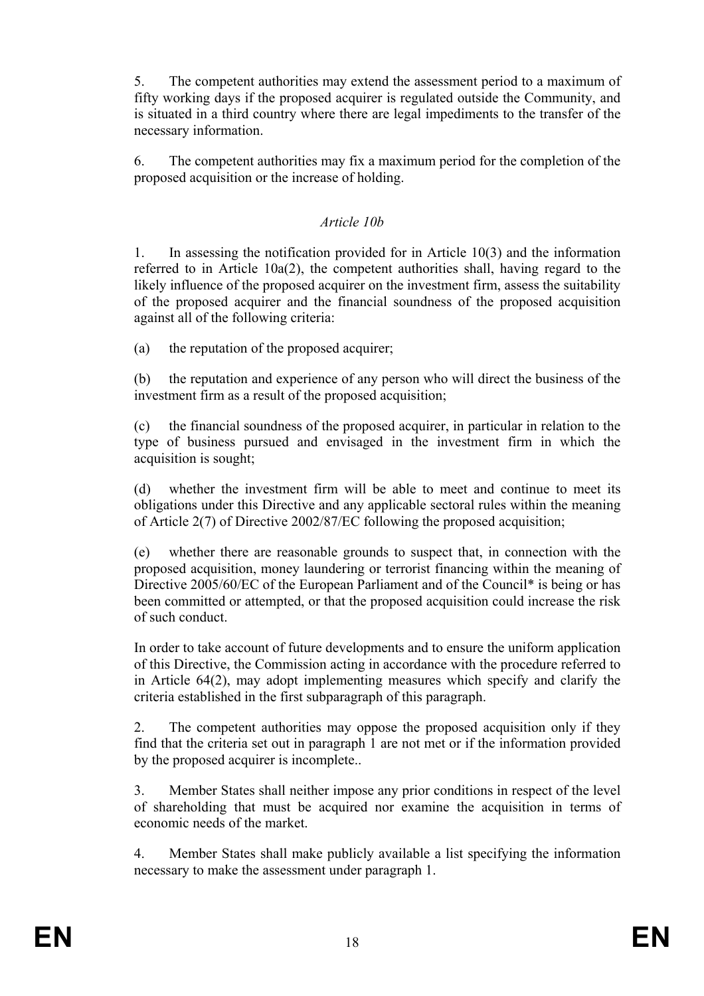5. The competent authorities may extend the assessment period to a maximum of fifty working days if the proposed acquirer is regulated outside the Community, and is situated in a third country where there are legal impediments to the transfer of the necessary information.

6. The competent authorities may fix a maximum period for the completion of the proposed acquisition or the increase of holding.

# *Article 10b*

1. In assessing the notification provided for in Article 10(3) and the information referred to in Article 10a(2), the competent authorities shall, having regard to the likely influence of the proposed acquirer on the investment firm, assess the suitability of the proposed acquirer and the financial soundness of the proposed acquisition against all of the following criteria:

(a) the reputation of the proposed acquirer;

(b) the reputation and experience of any person who will direct the business of the investment firm as a result of the proposed acquisition;

(c) the financial soundness of the proposed acquirer, in particular in relation to the type of business pursued and envisaged in the investment firm in which the acquisition is sought;

(d) whether the investment firm will be able to meet and continue to meet its obligations under this Directive and any applicable sectoral rules within the meaning of Article 2(7) of Directive 2002/87/EC following the proposed acquisition;

(e) whether there are reasonable grounds to suspect that, in connection with the proposed acquisition, money laundering or terrorist financing within the meaning of Directive 2005/60/EC of the European Parliament and of the Council<sup>\*</sup> is being or has been committed or attempted, or that the proposed acquisition could increase the risk of such conduct.

In order to take account of future developments and to ensure the uniform application of this Directive, the Commission acting in accordance with the procedure referred to in Article 64(2), may adopt implementing measures which specify and clarify the criteria established in the first subparagraph of this paragraph.

2. The competent authorities may oppose the proposed acquisition only if they find that the criteria set out in paragraph 1 are not met or if the information provided by the proposed acquirer is incomplete..

3. Member States shall neither impose any prior conditions in respect of the level of shareholding that must be acquired nor examine the acquisition in terms of economic needs of the market.

4. Member States shall make publicly available a list specifying the information necessary to make the assessment under paragraph 1.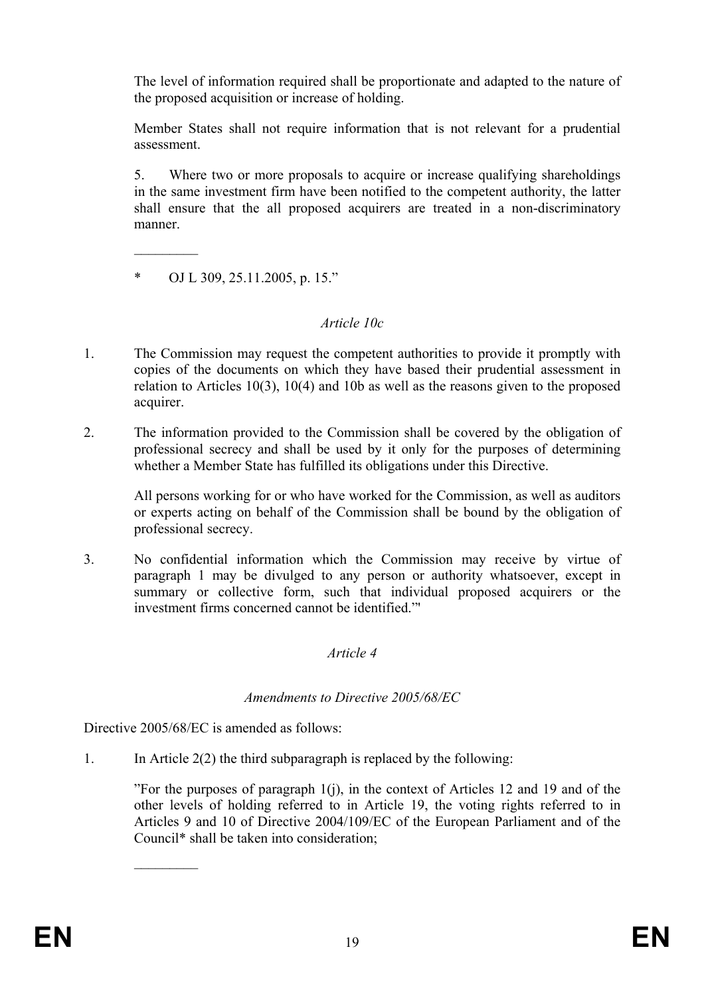The level of information required shall be proportionate and adapted to the nature of the proposed acquisition or increase of holding.

Member States shall not require information that is not relevant for a prudential assessment.

5. Where two or more proposals to acquire or increase qualifying shareholdings in the same investment firm have been notified to the competent authority, the latter shall ensure that the all proposed acquirers are treated in a non-discriminatory manner.

\* OJ L 309, 25.11.2005, p. 15."

 $\frac{1}{2}$ 

# *Article 10c*

- 1. The Commission may request the competent authorities to provide it promptly with copies of the documents on which they have based their prudential assessment in relation to Articles 10(3), 10(4) and 10b as well as the reasons given to the proposed acquirer.
- 2. The information provided to the Commission shall be covered by the obligation of professional secrecy and shall be used by it only for the purposes of determining whether a Member State has fulfilled its obligations under this Directive.

All persons working for or who have worked for the Commission, as well as auditors or experts acting on behalf of the Commission shall be bound by the obligation of professional secrecy.

3. No confidential information which the Commission may receive by virtue of paragraph 1 may be divulged to any person or authority whatsoever, except in summary or collective form, such that individual proposed acquirers or the investment firms concerned cannot be identified."

# *Article 4*

# *Amendments to Directive 2005/68/EC*

Directive 2005/68/EC is amended as follows:

 $\frac{1}{2}$ 

1. In Article 2(2) the third subparagraph is replaced by the following:

"For the purposes of paragraph  $1(i)$ , in the context of Articles 12 and 19 and of the other levels of holding referred to in Article 19, the voting rights referred to in Articles 9 and 10 of Directive 2004/109/EC of the European Parliament and of the Council\* shall be taken into consideration;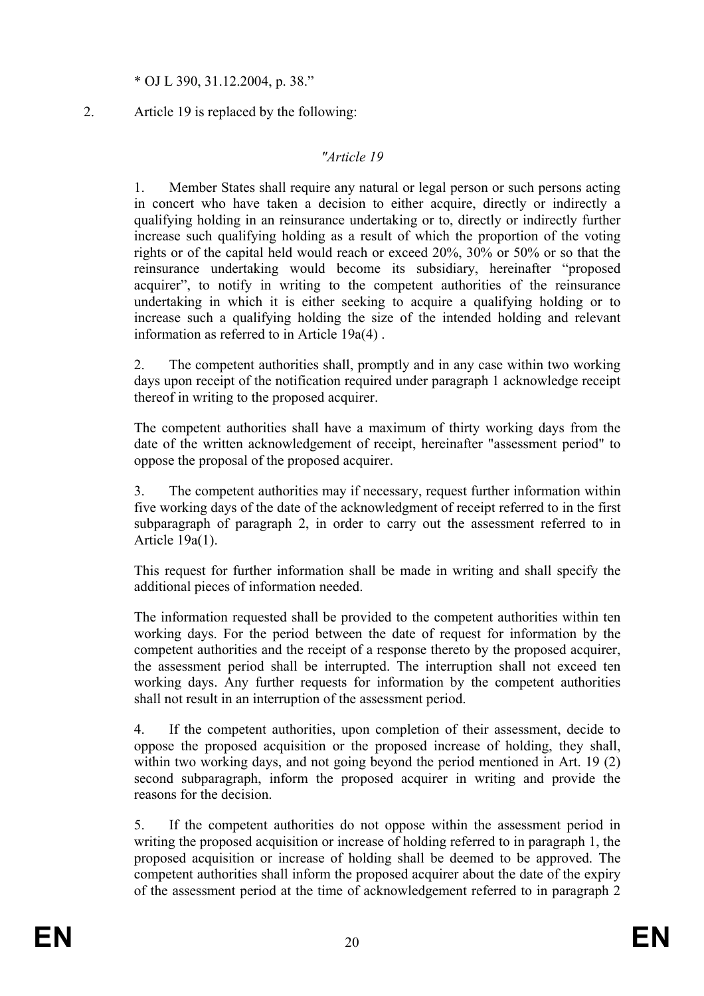#### \* OJ L 390, 31.12.2004, p. 38."

## 2. Article 19 is replaced by the following:

## *"Article 19*

1. Member States shall require any natural or legal person or such persons acting in concert who have taken a decision to either acquire, directly or indirectly a qualifying holding in an reinsurance undertaking or to, directly or indirectly further increase such qualifying holding as a result of which the proportion of the voting rights or of the capital held would reach or exceed 20%, 30% or 50% or so that the reinsurance undertaking would become its subsidiary, hereinafter "proposed acquirer", to notify in writing to the competent authorities of the reinsurance undertaking in which it is either seeking to acquire a qualifying holding or to increase such a qualifying holding the size of the intended holding and relevant information as referred to in Article 19a(4) .

2. The competent authorities shall, promptly and in any case within two working days upon receipt of the notification required under paragraph 1 acknowledge receipt thereof in writing to the proposed acquirer.

The competent authorities shall have a maximum of thirty working days from the date of the written acknowledgement of receipt, hereinafter "assessment period" to oppose the proposal of the proposed acquirer.

3. The competent authorities may if necessary, request further information within five working days of the date of the acknowledgment of receipt referred to in the first subparagraph of paragraph 2, in order to carry out the assessment referred to in Article 19a(1).

This request for further information shall be made in writing and shall specify the additional pieces of information needed.

The information requested shall be provided to the competent authorities within ten working days. For the period between the date of request for information by the competent authorities and the receipt of a response thereto by the proposed acquirer, the assessment period shall be interrupted. The interruption shall not exceed ten working days. Any further requests for information by the competent authorities shall not result in an interruption of the assessment period.

4. If the competent authorities, upon completion of their assessment, decide to oppose the proposed acquisition or the proposed increase of holding, they shall, within two working days, and not going beyond the period mentioned in Art. 19 (2) second subparagraph, inform the proposed acquirer in writing and provide the reasons for the decision.

5. If the competent authorities do not oppose within the assessment period in writing the proposed acquisition or increase of holding referred to in paragraph 1, the proposed acquisition or increase of holding shall be deemed to be approved. The competent authorities shall inform the proposed acquirer about the date of the expiry of the assessment period at the time of acknowledgement referred to in paragraph 2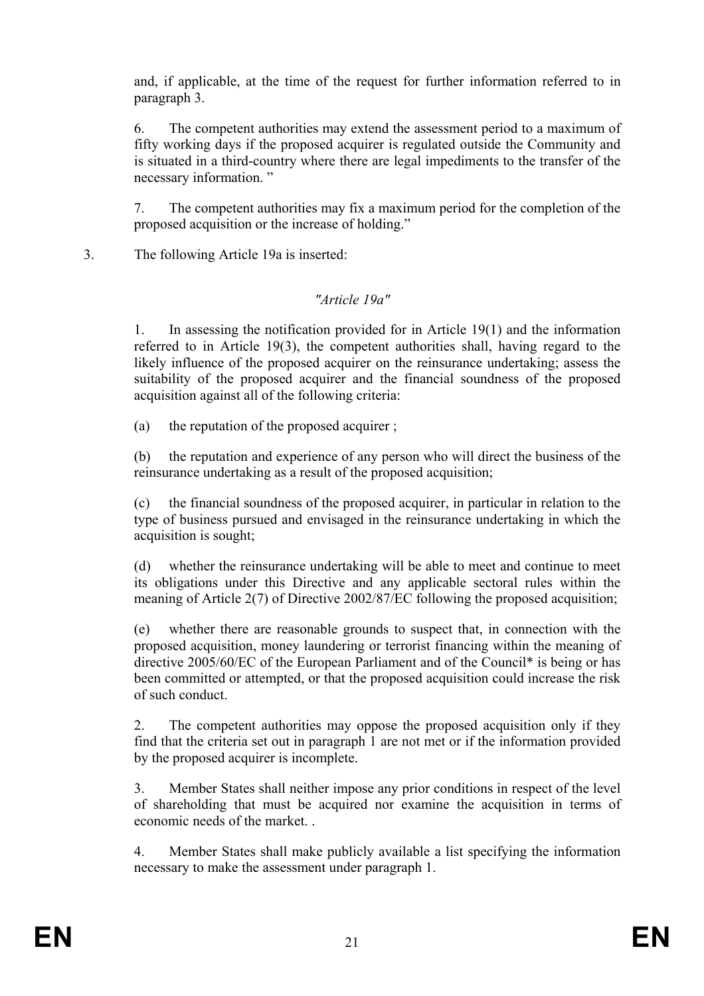and, if applicable, at the time of the request for further information referred to in paragraph 3.

6. The competent authorities may extend the assessment period to a maximum of fifty working days if the proposed acquirer is regulated outside the Community and is situated in a third-country where there are legal impediments to the transfer of the necessary information. "

7. The competent authorities may fix a maximum period for the completion of the proposed acquisition or the increase of holding."

3. The following Article 19a is inserted:

# *"Article 19a"*

1. In assessing the notification provided for in Article 19(1) and the information referred to in Article 19(3), the competent authorities shall, having regard to the likely influence of the proposed acquirer on the reinsurance undertaking; assess the suitability of the proposed acquirer and the financial soundness of the proposed acquisition against all of the following criteria:

(a) the reputation of the proposed acquirer ;

(b) the reputation and experience of any person who will direct the business of the reinsurance undertaking as a result of the proposed acquisition;

(c) the financial soundness of the proposed acquirer, in particular in relation to the type of business pursued and envisaged in the reinsurance undertaking in which the acquisition is sought;

(d) whether the reinsurance undertaking will be able to meet and continue to meet its obligations under this Directive and any applicable sectoral rules within the meaning of Article 2(7) of Directive 2002/87/EC following the proposed acquisition;

(e) whether there are reasonable grounds to suspect that, in connection with the proposed acquisition, money laundering or terrorist financing within the meaning of directive 2005/60/EC of the European Parliament and of the Council\* is being or has been committed or attempted, or that the proposed acquisition could increase the risk of such conduct.

2. The competent authorities may oppose the proposed acquisition only if they find that the criteria set out in paragraph 1 are not met or if the information provided by the proposed acquirer is incomplete.

3. Member States shall neither impose any prior conditions in respect of the level of shareholding that must be acquired nor examine the acquisition in terms of economic needs of the market.

4. Member States shall make publicly available a list specifying the information necessary to make the assessment under paragraph 1.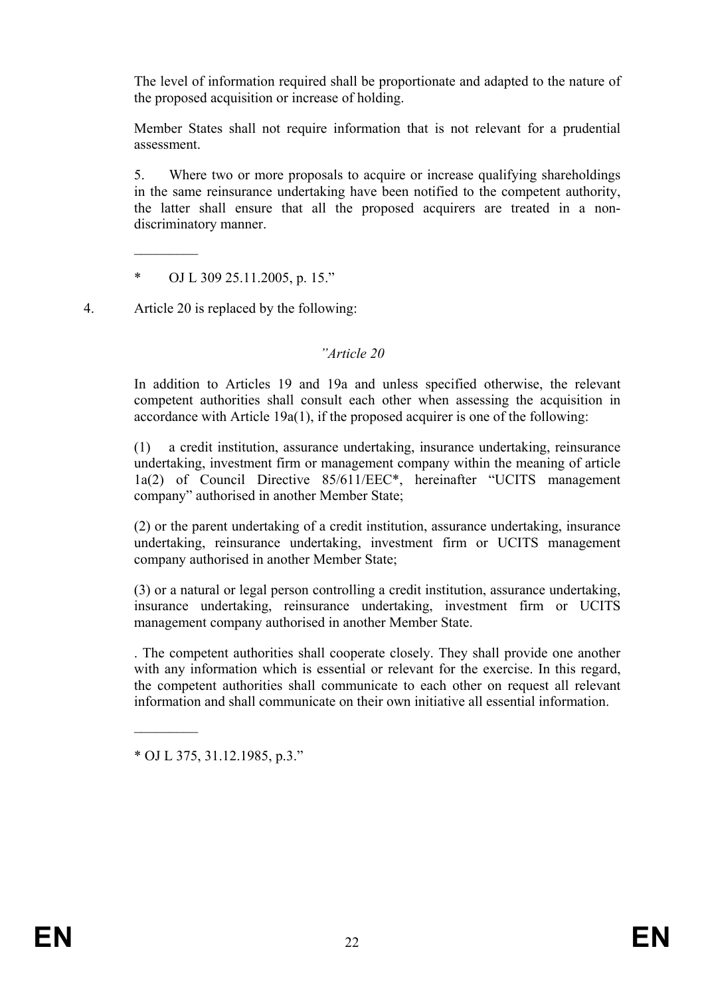The level of information required shall be proportionate and adapted to the nature of the proposed acquisition or increase of holding.

Member States shall not require information that is not relevant for a prudential assessment.

5. Where two or more proposals to acquire or increase qualifying shareholdings in the same reinsurance undertaking have been notified to the competent authority, the latter shall ensure that all the proposed acquirers are treated in a nondiscriminatory manner.

\* OJ L 309 25.11.2005, p. 15."

4. Article 20 is replaced by the following:

 $\frac{1}{2}$ 

#### *"Article 20*

In addition to Articles 19 and 19a and unless specified otherwise, the relevant competent authorities shall consult each other when assessing the acquisition in accordance with Article 19a(1), if the proposed acquirer is one of the following:

(1) a credit institution, assurance undertaking, insurance undertaking, reinsurance undertaking, investment firm or management company within the meaning of article 1a(2) of Council Directive 85/611/EEC\*, hereinafter "UCITS management company" authorised in another Member State;

(2) or the parent undertaking of a credit institution, assurance undertaking, insurance undertaking, reinsurance undertaking, investment firm or UCITS management company authorised in another Member State;

(3) or a natural or legal person controlling a credit institution, assurance undertaking, insurance undertaking, reinsurance undertaking, investment firm or UCITS management company authorised in another Member State.

. The competent authorities shall cooperate closely. They shall provide one another with any information which is essential or relevant for the exercise. In this regard, the competent authorities shall communicate to each other on request all relevant information and shall communicate on their own initiative all essential information.

\* OJ L 375, 31.12.1985, p.3."

 $\frac{1}{2}$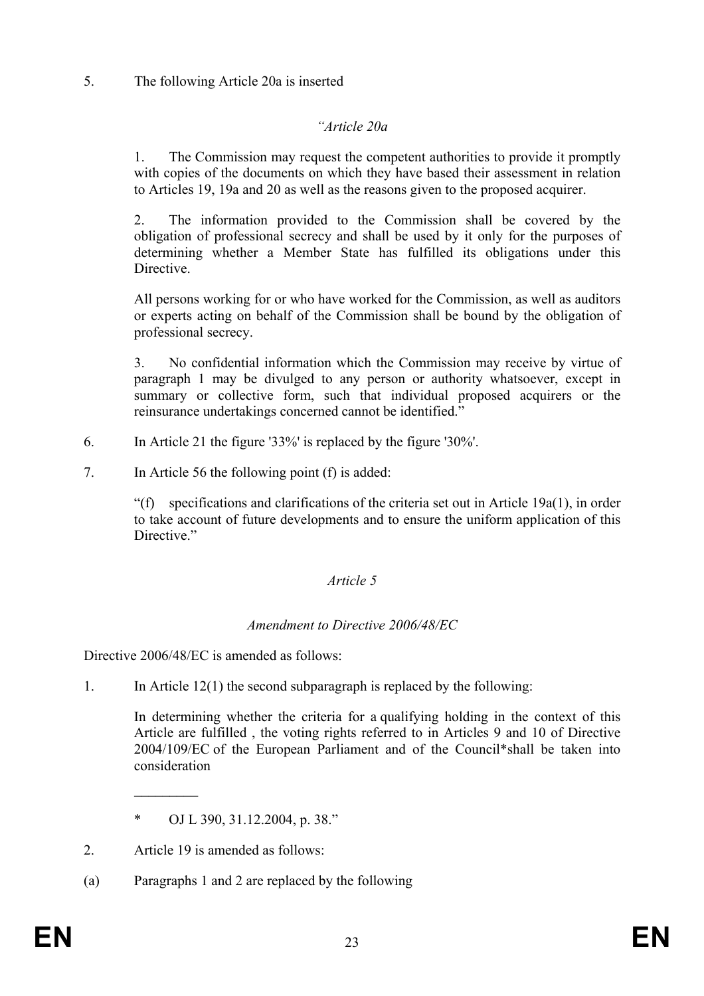# 5. The following Article 20a is inserted

# *"Article 20a*

1. The Commission may request the competent authorities to provide it promptly with copies of the documents on which they have based their assessment in relation to Articles 19, 19a and 20 as well as the reasons given to the proposed acquirer.

2. The information provided to the Commission shall be covered by the obligation of professional secrecy and shall be used by it only for the purposes of determining whether a Member State has fulfilled its obligations under this **Directive** 

All persons working for or who have worked for the Commission, as well as auditors or experts acting on behalf of the Commission shall be bound by the obligation of professional secrecy.

3. No confidential information which the Commission may receive by virtue of paragraph 1 may be divulged to any person or authority whatsoever, except in summary or collective form, such that individual proposed acquirers or the reinsurance undertakings concerned cannot be identified."

- 6. In Article 21 the figure '33%' is replaced by the figure '30%'.
- 7. In Article 56 the following point (f) is added:

"(f) specifications and clarifications of the criteria set out in Article 19a(1), in order to take account of future developments and to ensure the uniform application of this Directive."

# *Article 5*

# *Amendment to Directive 2006/48/EC*

Directive 2006/48/EC is amended as follows:

1. In Article 12(1) the second subparagraph is replaced by the following:

In determining whether the criteria for a qualifying holding in the context of this Article are fulfilled , the voting rights referred to in Articles 9 and 10 of Directive 2004/109/EC of the European Parliament and of the Council\*shall be taken into consideration

2. Article 19 is amended as follows:

 $\frac{1}{2}$ 

(a) Paragraphs 1 and 2 are replaced by the following

<sup>\*</sup> OJ L 390, 31.12.2004, p. 38."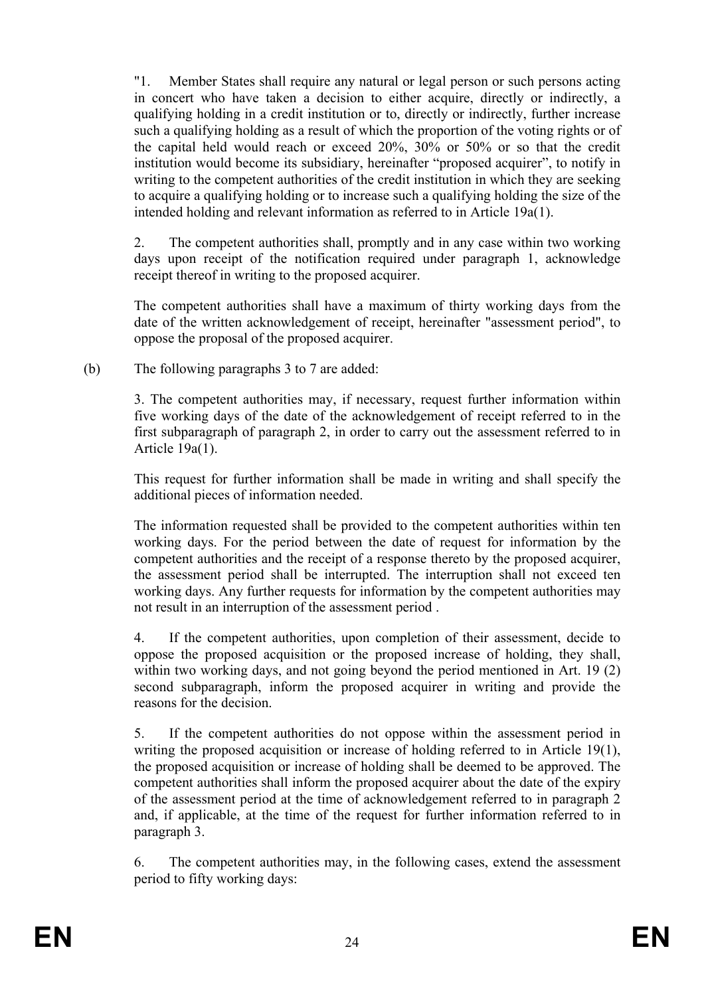"1. Member States shall require any natural or legal person or such persons acting in concert who have taken a decision to either acquire, directly or indirectly, a qualifying holding in a credit institution or to, directly or indirectly, further increase such a qualifying holding as a result of which the proportion of the voting rights or of the capital held would reach or exceed 20%, 30% or 50% or so that the credit institution would become its subsidiary, hereinafter "proposed acquirer", to notify in writing to the competent authorities of the credit institution in which they are seeking to acquire a qualifying holding or to increase such a qualifying holding the size of the intended holding and relevant information as referred to in Article 19a(1).

2. The competent authorities shall, promptly and in any case within two working days upon receipt of the notification required under paragraph 1, acknowledge receipt thereof in writing to the proposed acquirer.

The competent authorities shall have a maximum of thirty working days from the date of the written acknowledgement of receipt, hereinafter "assessment period", to oppose the proposal of the proposed acquirer.

# (b) The following paragraphs 3 to 7 are added:

3. The competent authorities may, if necessary, request further information within five working days of the date of the acknowledgement of receipt referred to in the first subparagraph of paragraph 2, in order to carry out the assessment referred to in Article 19a(1).

This request for further information shall be made in writing and shall specify the additional pieces of information needed.

The information requested shall be provided to the competent authorities within ten working days. For the period between the date of request for information by the competent authorities and the receipt of a response thereto by the proposed acquirer, the assessment period shall be interrupted. The interruption shall not exceed ten working days. Any further requests for information by the competent authorities may not result in an interruption of the assessment period .

4. If the competent authorities, upon completion of their assessment, decide to oppose the proposed acquisition or the proposed increase of holding, they shall, within two working days, and not going beyond the period mentioned in Art. 19 (2) second subparagraph, inform the proposed acquirer in writing and provide the reasons for the decision.

5. If the competent authorities do not oppose within the assessment period in writing the proposed acquisition or increase of holding referred to in Article 19(1), the proposed acquisition or increase of holding shall be deemed to be approved. The competent authorities shall inform the proposed acquirer about the date of the expiry of the assessment period at the time of acknowledgement referred to in paragraph 2 and, if applicable, at the time of the request for further information referred to in paragraph 3.

6. The competent authorities may, in the following cases, extend the assessment period to fifty working days: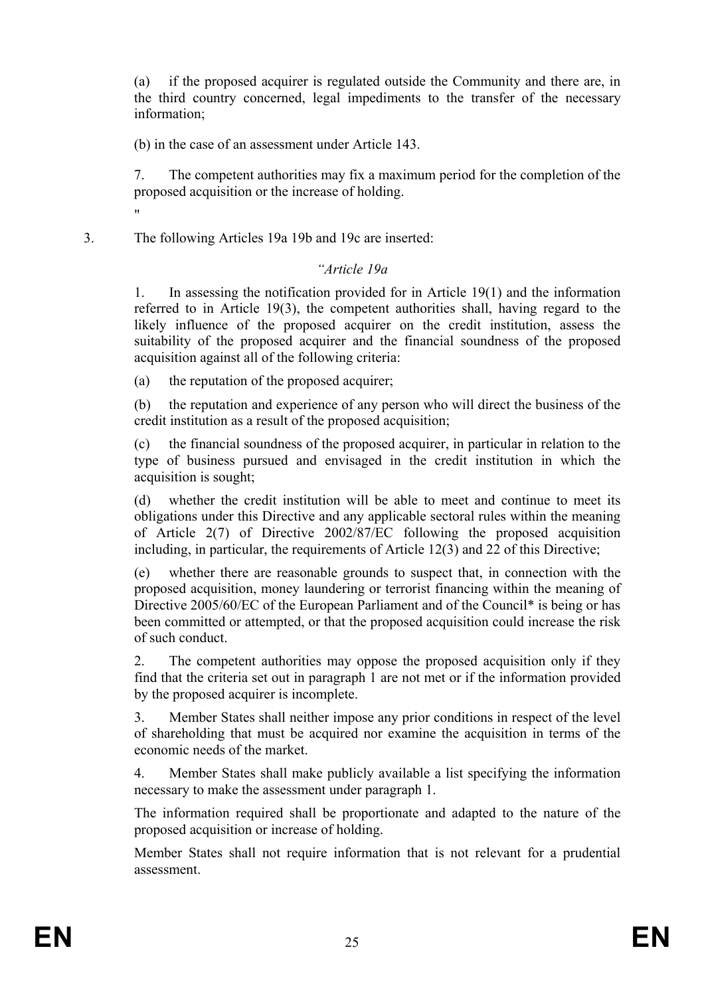(a) if the proposed acquirer is regulated outside the Community and there are, in the third country concerned, legal impediments to the transfer of the necessary information;

(b) in the case of an assessment under Article 143.

7. The competent authorities may fix a maximum period for the completion of the proposed acquisition or the increase of holding.

3. The following Articles 19a 19b and 19c are inserted:

"

## *"Article 19a*

1. In assessing the notification provided for in Article 19(1) and the information referred to in Article 19(3), the competent authorities shall, having regard to the likely influence of the proposed acquirer on the credit institution, assess the suitability of the proposed acquirer and the financial soundness of the proposed acquisition against all of the following criteria:

(a) the reputation of the proposed acquirer;

(b) the reputation and experience of any person who will direct the business of the credit institution as a result of the proposed acquisition;

(c) the financial soundness of the proposed acquirer, in particular in relation to the type of business pursued and envisaged in the credit institution in which the acquisition is sought;

(d) whether the credit institution will be able to meet and continue to meet its obligations under this Directive and any applicable sectoral rules within the meaning of Article 2(7) of Directive 2002/87/EC following the proposed acquisition including, in particular, the requirements of Article 12(3) and 22 of this Directive;

(e) whether there are reasonable grounds to suspect that, in connection with the proposed acquisition, money laundering or terrorist financing within the meaning of Directive 2005/60/EC of the European Parliament and of the Council\* is being or has been committed or attempted, or that the proposed acquisition could increase the risk of such conduct.

2. The competent authorities may oppose the proposed acquisition only if they find that the criteria set out in paragraph 1 are not met or if the information provided by the proposed acquirer is incomplete.

3. Member States shall neither impose any prior conditions in respect of the level of shareholding that must be acquired nor examine the acquisition in terms of the economic needs of the market.

4. Member States shall make publicly available a list specifying the information necessary to make the assessment under paragraph 1.

The information required shall be proportionate and adapted to the nature of the proposed acquisition or increase of holding.

Member States shall not require information that is not relevant for a prudential assessment.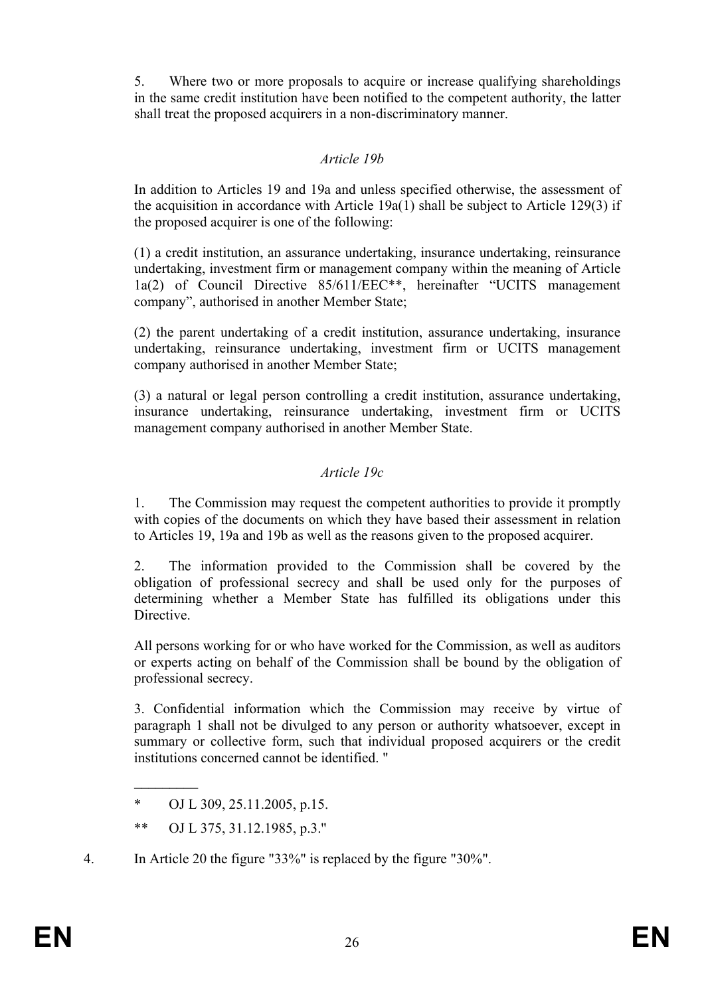5. Where two or more proposals to acquire or increase qualifying shareholdings in the same credit institution have been notified to the competent authority, the latter shall treat the proposed acquirers in a non-discriminatory manner.

# *Article 19b*

In addition to Articles 19 and 19a and unless specified otherwise, the assessment of the acquisition in accordance with Article 19a(1) shall be subject to Article 129(3) if the proposed acquirer is one of the following:

(1) a credit institution, an assurance undertaking, insurance undertaking, reinsurance undertaking, investment firm or management company within the meaning of Article 1a(2) of Council Directive 85/611/EEC\*\*, hereinafter "UCITS management company", authorised in another Member State;

(2) the parent undertaking of a credit institution, assurance undertaking, insurance undertaking, reinsurance undertaking, investment firm or UCITS management company authorised in another Member State;

(3) a natural or legal person controlling a credit institution, assurance undertaking, insurance undertaking, reinsurance undertaking, investment firm or UCITS management company authorised in another Member State.

# *Article 19c*

1. The Commission may request the competent authorities to provide it promptly with copies of the documents on which they have based their assessment in relation to Articles 19, 19a and 19b as well as the reasons given to the proposed acquirer.

2. The information provided to the Commission shall be covered by the obligation of professional secrecy and shall be used only for the purposes of determining whether a Member State has fulfilled its obligations under this Directive.

All persons working for or who have worked for the Commission, as well as auditors or experts acting on behalf of the Commission shall be bound by the obligation of professional secrecy.

3. Confidential information which the Commission may receive by virtue of paragraph 1 shall not be divulged to any person or authority whatsoever, except in summary or collective form, such that individual proposed acquirers or the credit institutions concerned cannot be identified. "

 $\frac{1}{2}$ 

<sup>\*</sup> OJ L 309, 25.11.2005, p.15.

<sup>\*\*</sup> OJ L 375, 31.12.1985, p.3.''

<sup>4.</sup> In Article 20 the figure "33%" is replaced by the figure "30%".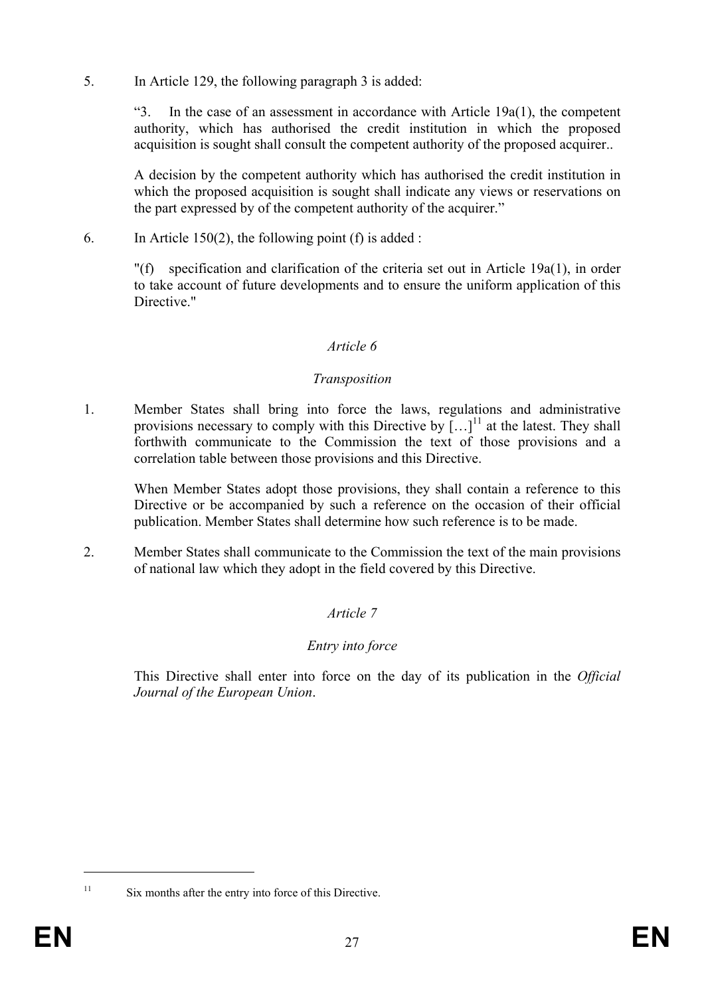5. In Article 129, the following paragraph 3 is added:

"3. In the case of an assessment in accordance with Article  $19a(1)$ , the competent authority, which has authorised the credit institution in which the proposed acquisition is sought shall consult the competent authority of the proposed acquirer..

A decision by the competent authority which has authorised the credit institution in which the proposed acquisition is sought shall indicate any views or reservations on the part expressed by of the competent authority of the acquirer."

6. In Article 150(2), the following point (f) is added :

"(f) specification and clarification of the criteria set out in Article 19a(1), in order to take account of future developments and to ensure the uniform application of this Directive<sup>"</sup>

# *Article 6*

## *Transposition*

1. Member States shall bring into force the laws, regulations and administrative provisions necessary to comply with this Directive by  $\left[\ldots\right]^{11}$  at the latest. They shall forthwith communicate to the Commission the text of those provisions and a correlation table between those provisions and this Directive.

When Member States adopt those provisions, they shall contain a reference to this Directive or be accompanied by such a reference on the occasion of their official publication. Member States shall determine how such reference is to be made.

2. Member States shall communicate to the Commission the text of the main provisions of national law which they adopt in the field covered by this Directive.

# *Article 7*

# *Entry into force*

This Directive shall enter into force on the day of its publication in the *Official Journal of the European Union*.

<sup>1</sup> 

<sup>&</sup>lt;sup>11</sup> Six months after the entry into force of this Directive.